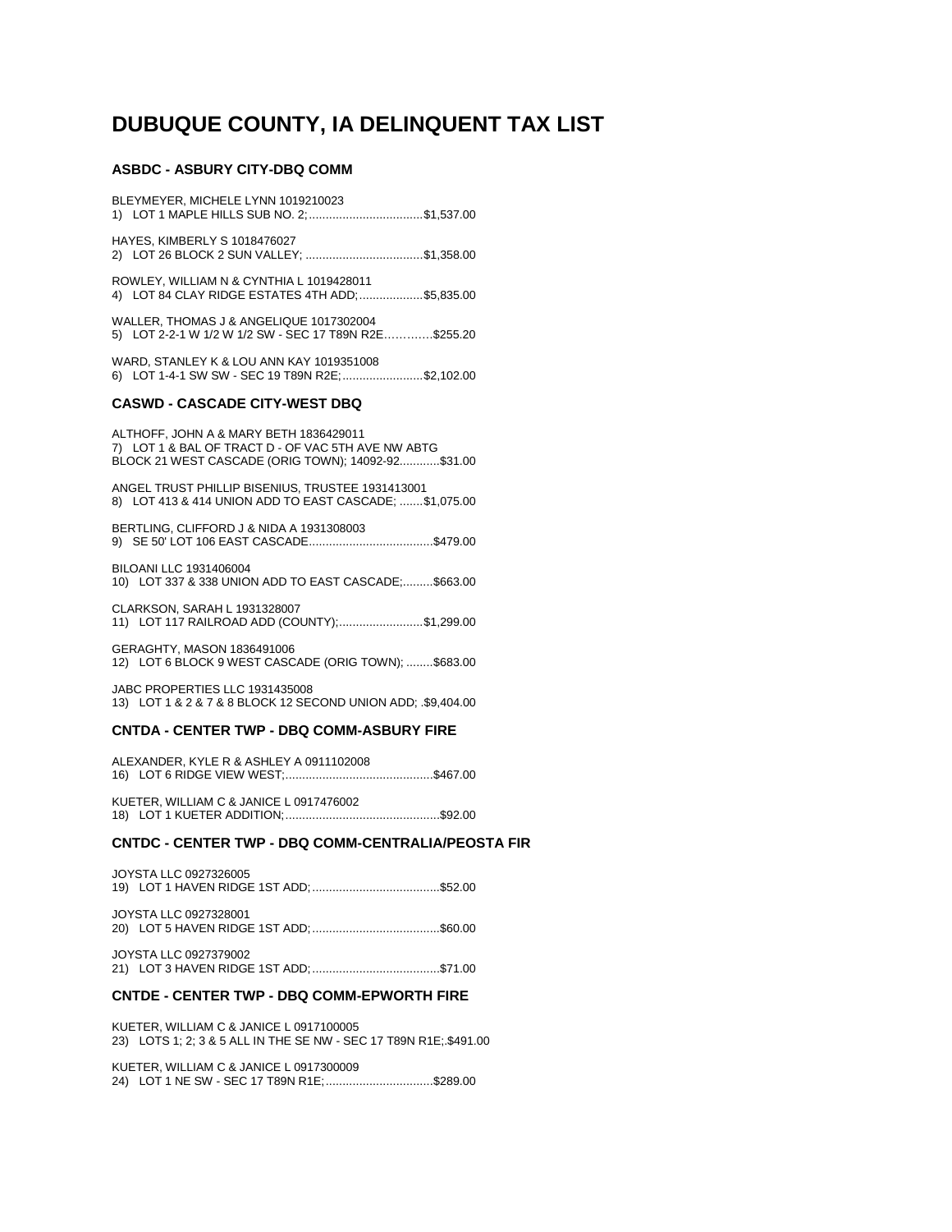# **DUBUQUE COUNTY, IA DELINQUENT TAX LIST**

## ASBDC - ASBURY CITY-DBQ COMM

| BLEYMEYER, MICHELE LYNN 1019210023<br>1) LOT 1 MAPLE HILLS SUB NO. 2; \$1,537.00                                                                   |
|----------------------------------------------------------------------------------------------------------------------------------------------------|
| HAYES, KIMBERLY S 1018476027<br>2) LOT 26 BLOCK 2 SUN VALLEY; \$1,358.00                                                                           |
| ROWLEY, WILLIAM N & CYNTHIA L 1019428011<br>4) LOT 84 CLAY RIDGE ESTATES 4TH ADD; \$5,835.00                                                       |
| WALLER, THOMAS J & ANGELIQUE 1017302004<br>5) LOT 2-2-1 W 1/2 W 1/2 SW - SEC 17 T89N R2E\$255.20                                                   |
| WARD. STANLEY K & LOU ANN KAY 1019351008<br>6) LOT 1-4-1 SW SW - SEC 19 T89N R2E;\$2,102.00                                                        |
| <b>CASWD - CASCADE CITY-WEST DBQ</b>                                                                                                               |
| ALTHOFF, JOHN A & MARY BETH 1836429011<br>7) LOT 1 & BAL OF TRACT D - OF VAC 5TH AVE NW ABTG<br>BLOCK 21 WEST CASCADE (ORIG TOWN); 14092-92\$31.00 |
| ANGEL TRUST PHILLIP BISENIUS, TRUSTEE 1931413001<br>8) LOT 413 & 414 UNION ADD TO EAST CASCADE; \$1,075.00                                         |
| BERTLING, CLIFFORD J & NIDA A 1931308003                                                                                                           |
| BILOANI LLC 1931406004<br>10) LOT 337 & 338 UNION ADD TO EAST CASCADE;\$663.00                                                                     |
| CLARKSON, SARAH L 1931328007<br>11) LOT 117 RAILROAD ADD (COUNTY);\$1,299.00                                                                       |
| GERAGHTY, MASON 1836491006<br>12) LOT 6 BLOCK 9 WEST CASCADE (ORIG TOWN); \$683.00                                                                 |
| JABC PROPERTIES LLC 1931435008<br>13) LOT 1 & 2 & 7 & 8 BLOCK 12 SECOND UNION ADD; .\$9,404.00                                                     |
| CNTDA - CENTER TWP - DBQ COMM-ASBURY FIRE                                                                                                          |
| ALEXANDER, KYLE R & ASHLEY A 0911102008                                                                                                            |
| KUETER, WILLIAM C & JANICE L 0917476002                                                                                                            |
| CNTDC - CENTER TWP - DBQ COMM-CENTRALIA/PEOSTA FIR                                                                                                 |
| JOYSTA LLC 0927326005                                                                                                                              |

| JOYSTA LLC 0927328001 |  |
|-----------------------|--|
| JOYSTA LLC 0927379002 |  |

## **CNTDE - CENTER TWP - DBQ COMM-EPWORTH FIRE**

KUETER, WILLIAM C & JANICE L 0917100005 23) LOTS 1; 2; 3 & 5 ALL IN THE SE NW - SEC 17 T89N R1E; \$491.00

KUETER, WILLIAM C & JANICE L 0917300009 24) LOT 1 NE SW - SEC 17 T89N R1E;................................\$289.00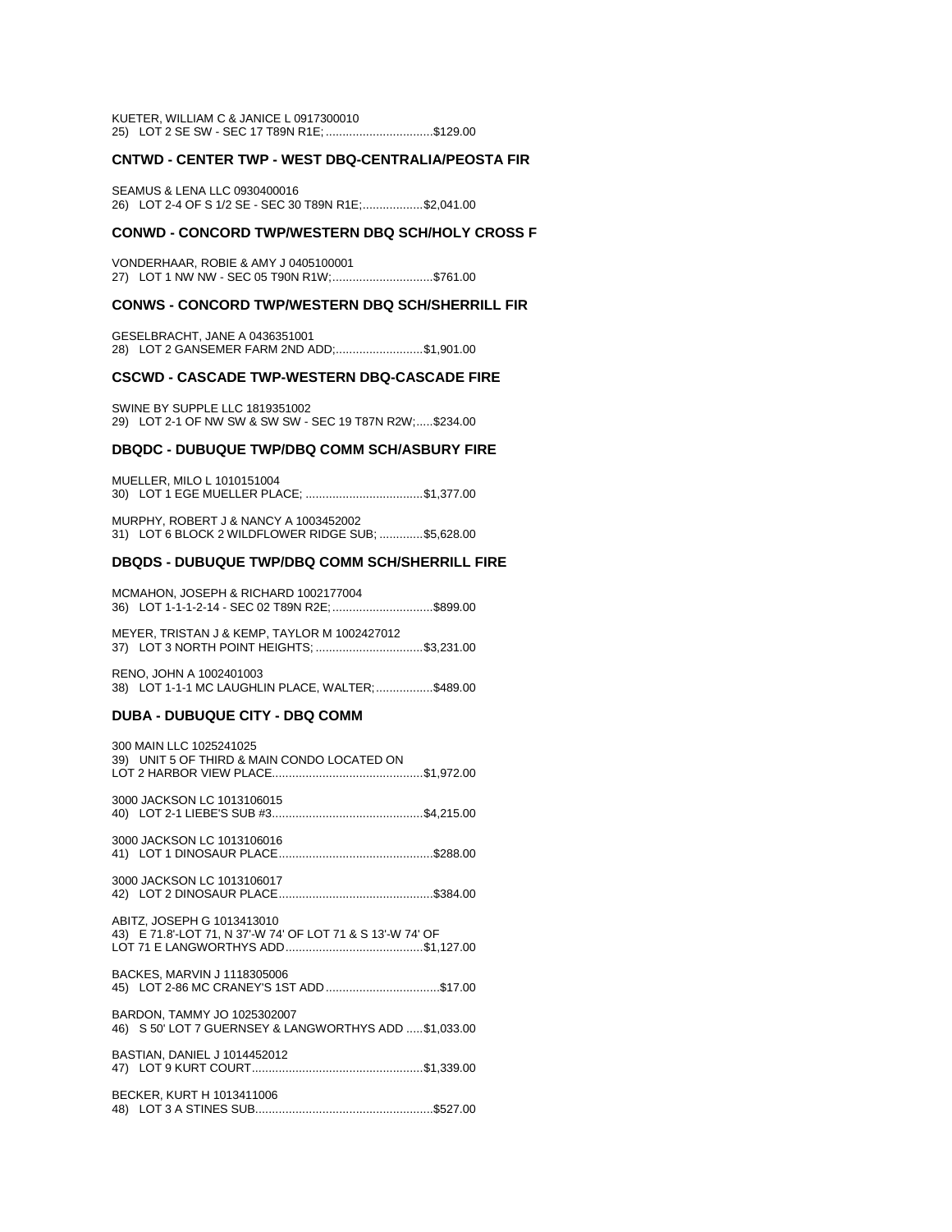KUETER, WILLIAM C & JANICE L 0917300010 25) LOT 2 SE SW - SEC 17 T89N R1E; ................................\$129.00

#### CNTWD - CENTER TWP - WEST DBQ-CENTRALIA/PEOSTA FIR

SEAMUS & LENA LLC 0930400016 26) LOT 2-4 OF S 1/2 SE - SEC 30 T89N R1E;..................\$2,041.00

#### CONWD - CONCORD TWP/WESTERN DBQ SCH/HOLY CROSS F

VONDERHAAR, ROBIE & AMY J 0405100001 27) LOT 1 NW NW - SEC 05 T90N R1W; ................................\$761.00

#### **CONWS - CONCORD TWP/WESTERN DBQ SCH/SHERRILL FIR**

GESELBRACHT, JANE A 0436351001 28) LOT 2 GANSEMER FARM 2ND ADD;..........................\$1,901.00

#### **CSCWD - CASCADE TWP-WESTERN DBQ-CASCADE FIRE**

SWINE BY SUPPLE LLC 1819351002 29) LOT 2-1 OF NW SW & SW SW - SEC 19 T87N R2W;..... \$234.00

#### **DBQDC - DUBUQUE TWP/DBQ COMM SCH/ASBURY FIRE**

MUELLER, MILO L 1010151004 

MURPHY, ROBERT J & NANCY A 1003452002 31) LOT 6 BLOCK 2 WILDFLOWER RIDGE SUB; ............. \$5,628.00

#### **DBQDS - DUBUQUE TWP/DBQ COMM SCH/SHERRILL FIRE**

MCMAHON, JOSEPH & RICHARD 1002177004 36) LOT 1-1-1-2-14 - SEC 02 T89N R2E; ..............................\$899.00 MEYER, TRISTAN J & KEMP, TAYLOR M 1002427012

37) LOT 3 NORTH POINT HEIGHTS; ..................................\$3,231.00

RENO, JOHN A 1002401003 38) LOT 1-1-1 MC LAUGHLIN PLACE, WALTER; .................\$489.00

## **DUBA - DUBUQUE CITY - DBQ COMM**

| 300 MAIN LLC 1025241025<br>39) UNIT 5 OF THIRD & MAIN CONDO LOCATED ON                   |
|------------------------------------------------------------------------------------------|
| 3000 JACKSON LC 1013106015                                                               |
| 3000 JACKSON LC 1013106016                                                               |
| 3000 JACKSON LC 1013106017                                                               |
| ABITZ, JOSEPH G 1013413010<br>43) E 71.8'-LOT 71, N 37'-W 74' OF LOT 71 & S 13'-W 74' OF |
| BACKES, MARVIN J 1118305006                                                              |
| BARDON, TAMMY JO 1025302007<br>46) S 50' LOT 7 GUERNSEY & LANGWORTHYS ADD \$1,033.00     |
| BASTIAN, DANIEL J 1014452012                                                             |
| BECKER, KURT H 1013411006                                                                |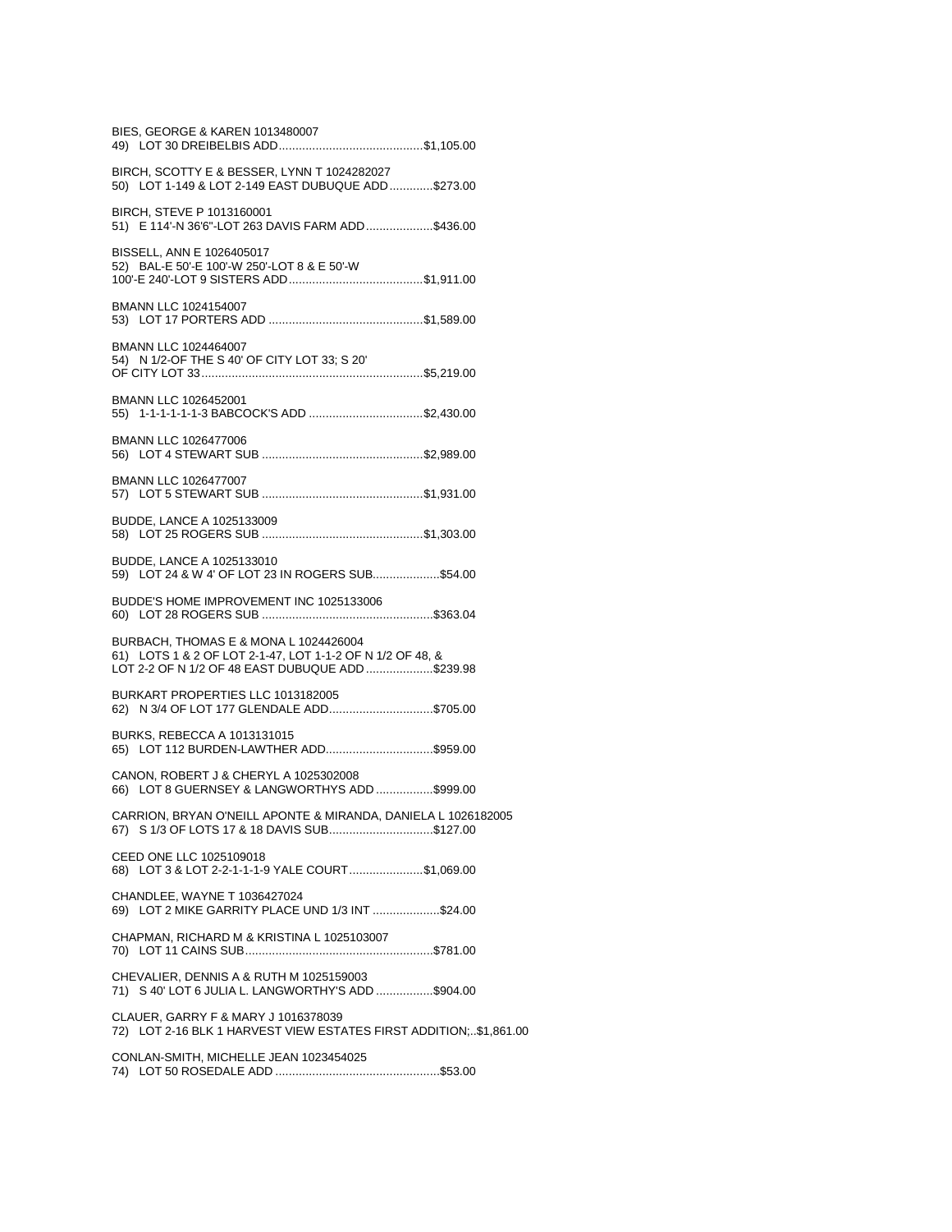| BIES, GEORGE & KAREN 1013480007                                                                                                                        |
|--------------------------------------------------------------------------------------------------------------------------------------------------------|
| BIRCH, SCOTTY E & BESSER, LYNN T 1024282027<br>50) LOT 1-149 & LOT 2-149 EAST DUBUQUE ADD\$273.00                                                      |
| BIRCH, STEVE P 1013160001<br>51) E 114'-N 36'6"-LOT 263 DAVIS FARM ADD\$436.00                                                                         |
| BISSELL, ANN E 1026405017<br>52) BAL-E 50'-E 100'-W 250'-LOT 8 & E 50'-W                                                                               |
| <b>BMANN LLC 1024154007</b>                                                                                                                            |
| BMANN LLC 1024464007<br>54) N 1/2-OF THE S 40' OF CITY LOT 33; S 20'                                                                                   |
| BMANN LLC 1026452001<br>55) 1-1-1-1-1-1-3 BABCOCK'S ADD \$2,430.00                                                                                     |
| BMANN LLC 1026477006                                                                                                                                   |
| BMANN LLC 1026477007                                                                                                                                   |
| BUDDE, LANCE A 1025133009                                                                                                                              |
| BUDDE, LANCE A 1025133010<br>59) LOT 24 & W 4' OF LOT 23 IN ROGERS SUB\$54.00                                                                          |
| BUDDE'S HOME IMPROVEMENT INC 1025133006                                                                                                                |
| BURBACH, THOMAS E & MONA L 1024426004<br>61) LOTS 1 & 2 OF LOT 2-1-47, LOT 1-1-2 OF N 1/2 OF 48, &<br>LOT 2-2 OF N 1/2 OF 48 EAST DUBUQUE ADD \$239.98 |
| BURKART PROPERTIES LLC 1013182005<br>62) N 3/4 OF LOT 177 GLENDALE ADD\$705.00                                                                         |
| BURKS, REBECCA A 1013131015<br>65) LOT 112 BURDEN-LAWTHER ADD\$959.00                                                                                  |
| CANON, ROBERT J & CHERYL A 1025302008<br>66) LOT 8 GUERNSEY & LANGWORTHYS ADD \$999.00                                                                 |
| CARRION, BRYAN O'NEILL APONTE & MIRANDA, DANIELA L 1026182005<br>67) S 1/3 OF LOTS 17 & 18 DAVIS SUB\$127.00                                           |
| CEED ONE LLC 1025109018<br>68) LOT 3 & LOT 2-2-1-1-1-9 YALE COURT\$1,069.00                                                                            |
| CHANDLEE, WAYNE T 1036427024<br>69) LOT 2 MIKE GARRITY PLACE UND 1/3 INT \$24.00                                                                       |
| CHAPMAN, RICHARD M & KRISTINA L 1025103007                                                                                                             |
| CHEVALIER, DENNIS A & RUTH M 1025159003<br>71) S 40' LOT 6 JULIA L. LANGWORTHY'S ADD \$904.00                                                          |
| CLAUER, GARRY F & MARY J 1016378039<br>72) LOT 2-16 BLK 1 HARVEST VIEW ESTATES FIRST ADDITION;\$1,861.00                                               |
| CONLAN-SMITH, MICHELLE JEAN 1023454025                                                                                                                 |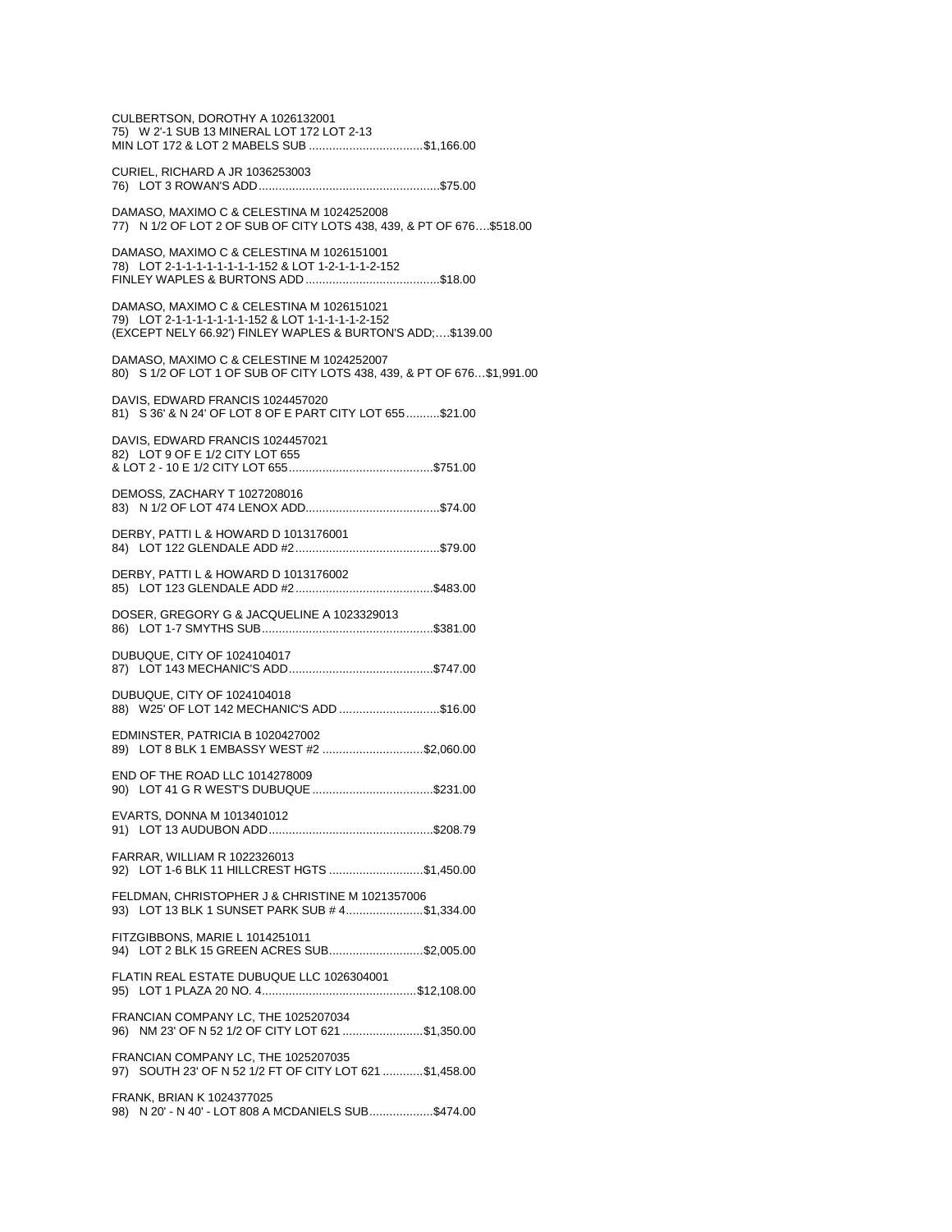CULBERTSON, DOROTHY A 1026132001 75) W 2'-1 SUB 13 MINERAL LOT 172 LOT 2-13 MIN LOT 172 & LOT 2 MABELS SUB .................................\$1,166.00 CURIEL, RICHARD A JR 1036253003 

DAMASO, MAXIMO C & CELESTINA M 1024252008 77) N 1/2 OF LOT 2 OF SUB OF CITY LOTS 438, 439, & PT OF 676....\$518.00

DAMASO, MAXIMO C & CELESTINA M 1026151001 78) LOT 2-1-1-1-1-1-1-1-1-152 & LOT 1-2-1-1-1-2-152 

DAMASO, MAXIMO C & CELESTINA M 1026151021 79) LOT 2-1-1-1-1-1-1-1-152 & LOT 1-1-1-1-1-2-152 (EXCEPT NELY 66.92') FINLEY WAPLES & BURTON'S ADD:....\$139.00

DAMASO, MAXIMO C & CELESTINE M 1024252007 80) S 1/2 OF LOT 1 OF SUB OF CITY LOTS 438, 439, & PT OF 676...\$1,991.00

DAVIS, EDWARD FRANCIS 1024457020 81) S 36' & N 24' OF LOT 8 OF E PART CITY LOT 655.......... \$21.00

DAVIS, EDWARD FRANCIS 1024457021 82) LOT 9 OF E 1/2 CITY LOT 655 

DEMOSS, ZACHARY T 1027208016 

DERBY, PATTI L & HOWARD D 1013176001 

DERBY, PATTI L & HOWARD D 1013176002 

DOSER, GREGORY G & JACQUELINE A 1023329013 

DUBUQUE, CITY OF 1024104017 

DUBUQUE, CITY OF 1024104018 88) W25' OF LOT 142 MECHANIC'S ADD ..............................\$16.00

EDMINSTER, PATRICIA B 1020427002 89) LOT 8 BLK 1 EMBASSY WEST #2 ..............................\$2,060.00

END OF THE ROAD LLC 1014278009 

EVARTS, DONNA M 1013401012 

FARRAR, WILLIAM R 1022326013 92) LOT 1-6 BLK 11 HILLCREST HGTS ...........................\$1,450.00

FELDMAN, CHRISTOPHER J & CHRISTINE M 1021357006 93) LOT 13 BLK 1 SUNSET PARK SUB #4......................\$1,334.00

FITZGIBBONS, MARIE L 1014251011 94) LOT 2 BLK 15 GREEN ACRES SUB............................\$2,005.00

FLATIN REAL ESTATE DUBUQUE LLC 1026304001 

FRANCIAN COMPANY LC, THE 1025207034 96) NM 23' OF N 52 1/2 OF CITY LOT 621 .......................\$1,350.00 FRANCIAN COMPANY LC, THE 1025207035

97) SOUTH 23' OF N 52 1/2 FT OF CITY LOT 621 ............\$1,458.00

FRANK, BRIAN K 1024377025 98) N 20' - N 40' - LOT 808 A MCDANIELS SUB...................\$474.00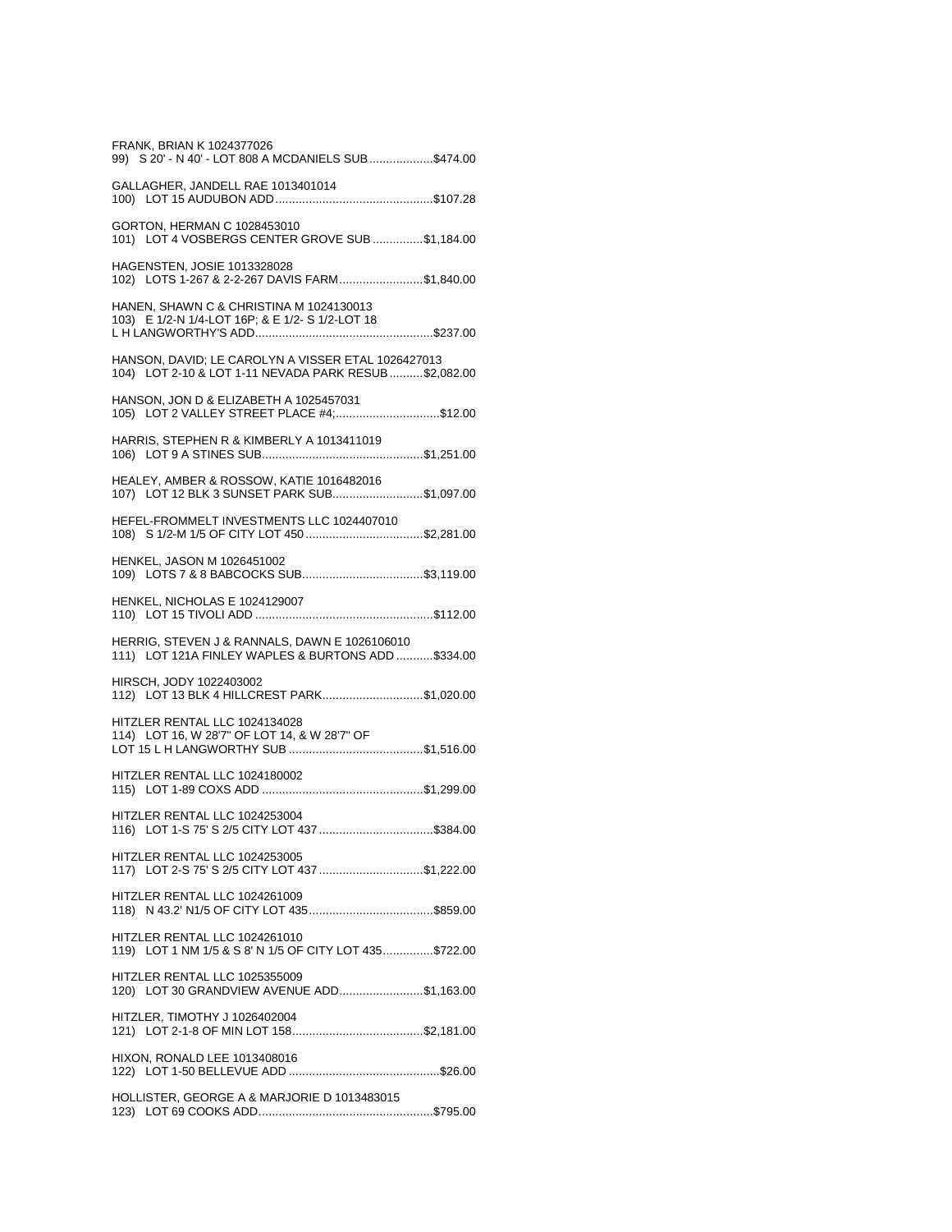| FRANK, BRIAN K 1024377026<br>99) S 20' - N 40' - LOT 808 A MCDANIELS SUB\$474.00                            |
|-------------------------------------------------------------------------------------------------------------|
| GALLAGHER, JANDELL RAE 1013401014                                                                           |
| GORTON, HERMAN C 1028453010<br>101) LOT 4 VOSBERGS CENTER GROVE SUB \$1,184.00                              |
| <b>HAGENSTEN, JOSIE 1013328028</b><br>102) LOTS 1-267 & 2-2-267 DAVIS FARM\$1,840.00                        |
| HANEN, SHAWN C & CHRISTINA M 1024130013<br>103) E 1/2-N 1/4-LOT 16P; & E 1/2- S 1/2-LOT 18                  |
| HANSON, DAVID; LE CAROLYN A VISSER ETAL 1026427013<br>104) LOT 2-10 & LOT 1-11 NEVADA PARK RESUB \$2,082.00 |
| HANSON, JON D & ELIZABETH A 1025457031<br>105) LOT 2 VALLEY STREET PLACE #4;\$12.00                         |
| HARRIS, STEPHEN R & KIMBERLY A 1013411019                                                                   |
| HEALEY, AMBER & ROSSOW, KATIE 1016482016<br>107) LOT 12 BLK 3 SUNSET PARK SUB\$1,097.00                     |
| HEFEL-FROMMELT INVESTMENTS LLC 1024407010<br>108) S 1/2-M 1/5 OF CITY LOT 450 \$2,281.00                    |
| <b>HENKEL, JASON M 1026451002</b>                                                                           |
| HENKEL, NICHOLAS E 1024129007                                                                               |
| HERRIG, STEVEN J & RANNALS, DAWN E 1026106010<br>111) LOT 121A FINLEY WAPLES & BURTONS ADD  \$334.00        |
| HIRSCH, JODY 1022403002<br>112) LOT 13 BLK 4 HILLCREST PARK\$1,020.00                                       |
| HITZLER RENTAL LLC 1024134028<br>114) LOT 16, W 28'7" OF LOT 14, & W 28'7" OF                               |
| HITZLER RENTAL LLC 1024180002                                                                               |
| HITZLER RENTAL LLC 1024253004<br>116) LOT 1-S 75' S 2/5 CITY LOT 437 \$384.00                               |
| HITZLER RENTAL LLC 1024253005<br>117) LOT 2-S 75' S 2/5 CITY LOT 437 \$1,222.00                             |
| HITZLER RENTAL LLC 1024261009                                                                               |
| HITZLER RENTAL LLC 1024261010<br>119) LOT 1 NM 1/5 & S 8' N 1/5 OF CITY LOT 435\$722.00                     |
| HITZLER RENTAL LLC 1025355009<br>120) LOT 30 GRANDVIEW AVENUE ADD\$1,163.00                                 |
| HITZLER, TIMOTHY J 1026402004                                                                               |
| HIXON, RONALD LEE 1013408016                                                                                |
| HOLLISTER, GEORGE A & MARJORIE D 1013483015                                                                 |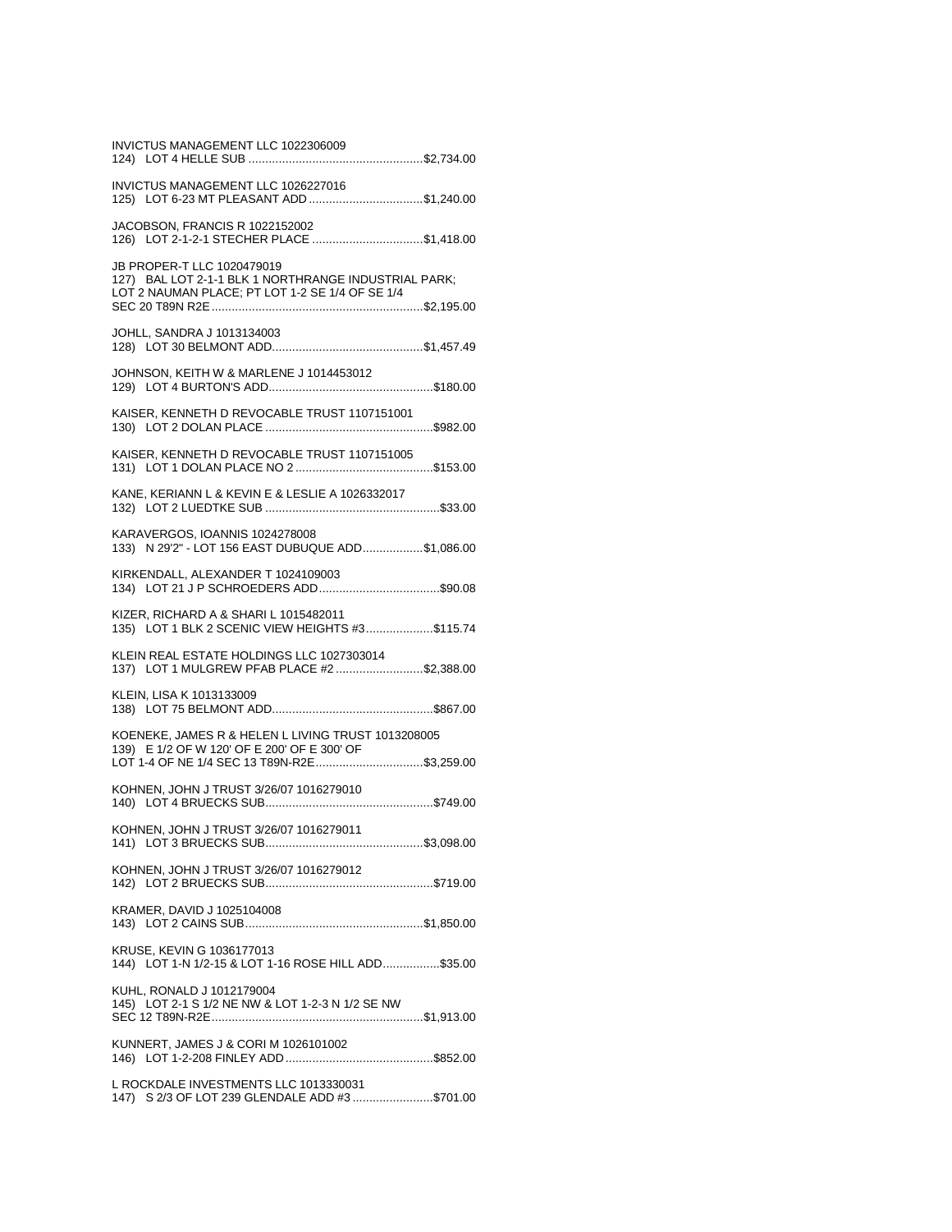| INVICTUS MANAGEMENT LLC 1022306009                                                                                                               |
|--------------------------------------------------------------------------------------------------------------------------------------------------|
| INVICTUS MANAGEMENT LLC 1026227016<br>125) LOT 6-23 MT PLEASANT ADD \$1,240.00                                                                   |
| JACOBSON, FRANCIS R 1022152002<br>126) LOT 2-1-2-1 STECHER PLACE \$1,418.00                                                                      |
| JB PROPER-T LLC 1020479019<br>127) BAL LOT 2-1-1 BLK 1 NORTHRANGE INDUSTRIAL PARK;<br>LOT 2 NAUMAN PLACE; PT LOT 1-2 SE 1/4 OF SE 1/4            |
| JOHLL, SANDRA J 1013134003                                                                                                                       |
| JOHNSON, KEITH W & MARLENE J 1014453012                                                                                                          |
| KAISER, KENNETH D REVOCABLE TRUST 1107151001                                                                                                     |
| KAISER, KENNETH D REVOCABLE TRUST 1107151005                                                                                                     |
| KANE, KERIANN L & KEVIN E & LESLIE A 1026332017                                                                                                  |
| KARAVERGOS, IOANNIS 1024278008<br>133) N 29'2" - LOT 156 EAST DUBUQUE ADD\$1,086.00                                                              |
| KIRKENDALL, ALEXANDER T 1024109003                                                                                                               |
| KIZER, RICHARD A & SHARI L 1015482011<br>135) LOT 1 BLK 2 SCENIC VIEW HEIGHTS #3\$115.74                                                         |
| KLEIN REAL ESTATE HOLDINGS LLC 1027303014<br>137) LOT 1 MULGREW PFAB PLACE #2 \$2,388.00                                                         |
| KLEIN, LISA K 1013133009                                                                                                                         |
| KOENEKE, JAMES R & HELEN L LIVING TRUST 1013208005<br>139) E 1/2 OF W 120' OF E 200' OF E 300' OF<br>LOT 1-4 OF NE 1/4 SEC 13 T89N-R2E\$3,259.00 |
| KOHNEN, JOHN J TRUST 3/26/07 1016279010                                                                                                          |
| KOHNEN, JOHN J TRUST 3/26/07 1016279011                                                                                                          |
| KOHNEN, JOHN J TRUST 3/26/07 1016279012                                                                                                          |
| KRAMER, DAVID J 1025104008                                                                                                                       |
| KRUSE, KEVIN G 1036177013<br>144) LOT 1-N 1/2-15 & LOT 1-16 ROSE HILL ADD\$35.00                                                                 |
| KUHL, RONALD J 1012179004<br>145) LOT 2-1 S 1/2 NE NW & LOT 1-2-3 N 1/2 SE NW                                                                    |
| KUNNERT, JAMES J & CORI M 1026101002                                                                                                             |
| L ROCKDALE INVESTMENTS LLC 1013330031<br>147) S 2/3 OF LOT 239 GLENDALE ADD #3 \$701.00                                                          |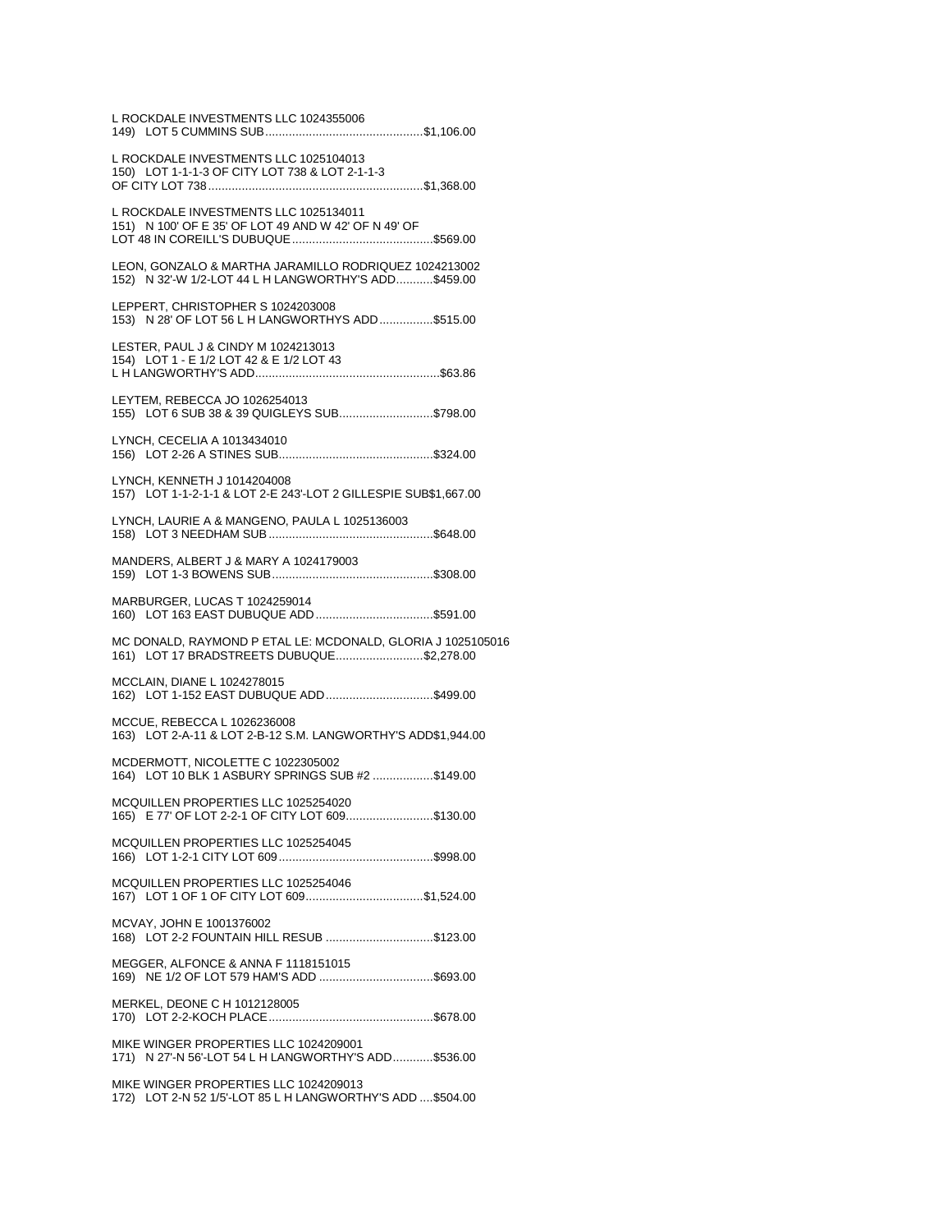| L ROCKDALE INVESTMENTS LLC 1024355006                                                                          |
|----------------------------------------------------------------------------------------------------------------|
| L ROCKDALE INVESTMENTS LLC 1025104013<br>150) LOT 1-1-1-3 OF CITY LOT 738 & LOT 2-1-1-3                        |
| L ROCKDALE INVESTMENTS LLC 1025134011<br>151) N 100' OF E 35' OF LOT 49 AND W 42' OF N 49' OF                  |
| LEON, GONZALO & MARTHA JARAMILLO RODRIQUEZ 1024213002<br>152) N 32'-W 1/2-LOT 44 L H LANGWORTHY'S ADD \$459.00 |
| LEPPERT, CHRISTOPHER S 1024203008<br>153) N 28' OF LOT 56 L H LANGWORTHYS ADD\$515.00                          |
| LESTER, PAUL J & CINDY M 1024213013<br>154) LOT 1 - E 1/2 LOT 42 & E 1/2 LOT 43                                |
| LEYTEM, REBECCA JO 1026254013<br>155) LOT 6 SUB 38 & 39 QUIGLEYS SUB\$798.00                                   |
| LYNCH, CECELIA A 1013434010                                                                                    |
| LYNCH, KENNETH J 1014204008<br>157) LOT 1-1-2-1-1 & LOT 2-E 243'-LOT 2 GILLESPIE SUB\$1,667.00                 |
| LYNCH, LAURIE A & MANGENO, PAULA L 1025136003                                                                  |
| MANDERS, ALBERT J & MARY A 1024179003                                                                          |
| MARBURGER, LUCAS T 1024259014                                                                                  |
| MC DONALD, RAYMOND P ETAL LE: MCDONALD, GLORIA J 1025105016<br>161) LOT 17 BRADSTREETS DUBUQUE\$2,278.00       |
| MCCLAIN, DIANE L 1024278015<br>162) LOT 1-152 EAST DUBUQUE ADD\$499.00                                         |
| MCCUE, REBECCA L 1026236008<br>163) LOT 2-A-11 & LOT 2-B-12 S.M. LANGWORTHY'S ADD\$1,944.00                    |
| MCDERMOTT, NICOLETTE C 1022305002<br>164) LOT 10 BLK 1 ASBURY SPRINGS SUB #2 \$149.00                          |
| MCQUILLEN PROPERTIES LLC 1025254020<br>165) E 77' OF LOT 2-2-1 OF CITY LOT 609\$130.00                         |
| MCQUILLEN PROPERTIES LLC 1025254045                                                                            |
| MCQUILLEN PROPERTIES LLC 1025254046<br>167) LOT 1 OF 1 OF CITY LOT 609\$1,524.00                               |
| MCVAY, JOHN E 1001376002<br>168) LOT 2-2 FOUNTAIN HILL RESUB \$123.00                                          |
| MEGGER, ALFONCE & ANNA F 1118151015<br>169) NE 1/2 OF LOT 579 HAM'S ADD \$693.00                               |
| MERKEL, DEONE C H 1012128005                                                                                   |
| MIKE WINGER PROPERTIES LLC 1024209001<br>171) N 27'-N 56'-LOT 54 L H LANGWORTHY'S ADD\$536.00                  |
| MIKE WINGER PROPERTIES LLC 1024209013<br>172) LOT 2-N 52 1/5'-LOT 85 L H LANGWORTHY'S ADD  \$504.00            |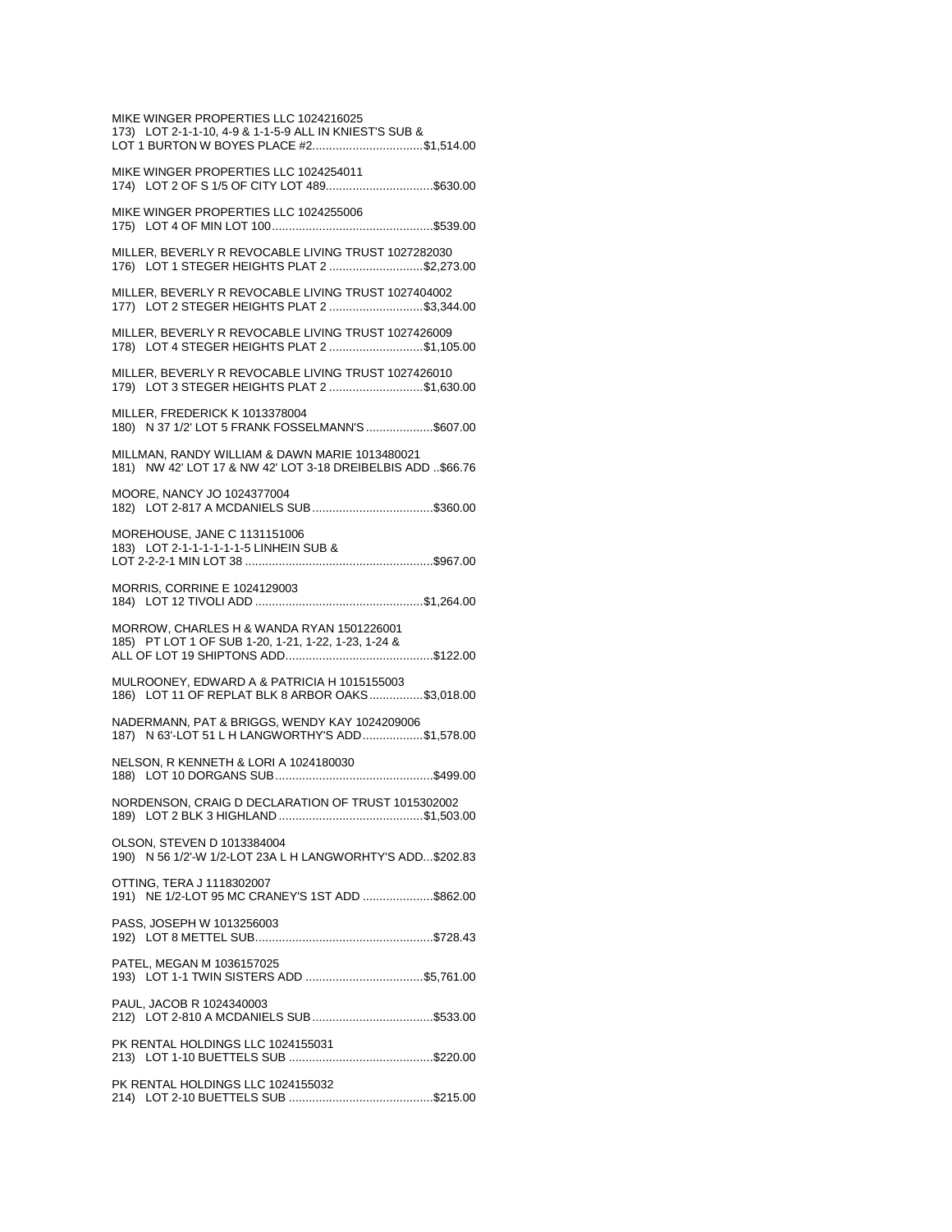| MIKE WINGER PROPERTIES LLC 1024216025<br>173) LOT 2-1-1-10, 4-9 & 1-1-5-9 ALL IN KNIEST'S SUB &<br>LOT 1 BURTON W BOYES PLACE #2\$1,514.00 |
|--------------------------------------------------------------------------------------------------------------------------------------------|
| MIKE WINGER PROPERTIES LLC 1024254011<br>174) LOT 2 OF S 1/5 OF CITY LOT 489\$630.00                                                       |
| MIKE WINGER PROPERTIES LLC 1024255006                                                                                                      |
| MILLER, BEVERLY R REVOCABLE LIVING TRUST 1027282030<br>176) LOT 1 STEGER HEIGHTS PLAT 2 \$2,273.00                                         |
| MILLER, BEVERLY R REVOCABLE LIVING TRUST 1027404002<br>177) LOT 2 STEGER HEIGHTS PLAT 2 \$3,344.00                                         |
| MILLER, BEVERLY R REVOCABLE LIVING TRUST 1027426009<br>178) LOT 4 STEGER HEIGHTS PLAT 2 \$1,105.00                                         |
| MILLER, BEVERLY R REVOCABLE LIVING TRUST 1027426010<br>179) LOT 3 STEGER HEIGHTS PLAT 2 \$1,630.00                                         |
| MILLER, FREDERICK K 1013378004<br>180) N 37 1/2' LOT 5 FRANK FOSSELMANN'S \$607.00                                                         |
| MILLMAN, RANDY WILLIAM & DAWN MARIE 1013480021<br>181) NW 42' LOT 17 & NW 42' LOT 3-18 DREIBELBIS ADD \$66.76                              |
| MOORE, NANCY JO 1024377004                                                                                                                 |
| MOREHOUSE, JANE C 1131151006<br>183) LOT 2-1-1-1-1-1-1-5 LINHEIN SUB &                                                                     |
| MORRIS, CORRINE E 1024129003                                                                                                               |
| MORROW, CHARLES H & WANDA RYAN 1501226001<br>185) PT LOT 1 OF SUB 1-20, 1-21, 1-22, 1-23, 1-24 &                                           |
| MULROONEY, EDWARD A & PATRICIA H 1015155003<br>186) LOT 11 OF REPLAT BLK 8 ARBOR OAKS\$3,018.00                                            |
| NADERMANN, PAT & BRIGGS, WENDY KAY 1024209006<br>187) N 63'-LOT 51 L H LANGWORTHY'S ADD\$1,578.00                                          |
| NELSON, R KENNETH & LORI A 1024180030                                                                                                      |
| NORDENSON, CRAIG D DECLARATION OF TRUST 1015302002                                                                                         |
| OLSON, STEVEN D 1013384004<br>190) N 56 1/2'-W 1/2-LOT 23A L H LANGWORHTY'S ADD\$202.83                                                    |
| OTTING, TERA J 1118302007<br>191) NE 1/2-LOT 95 MC CRANEY'S 1ST ADD \$862.00                                                               |
| PASS, JOSEPH W 1013256003                                                                                                                  |
| PATEL, MEGAN M 1036157025                                                                                                                  |
| PAUL, JACOB R 1024340003                                                                                                                   |
| PK RENTAL HOLDINGS LLC 1024155031                                                                                                          |
| PK RENTAL HOLDINGS LLC 1024155032                                                                                                          |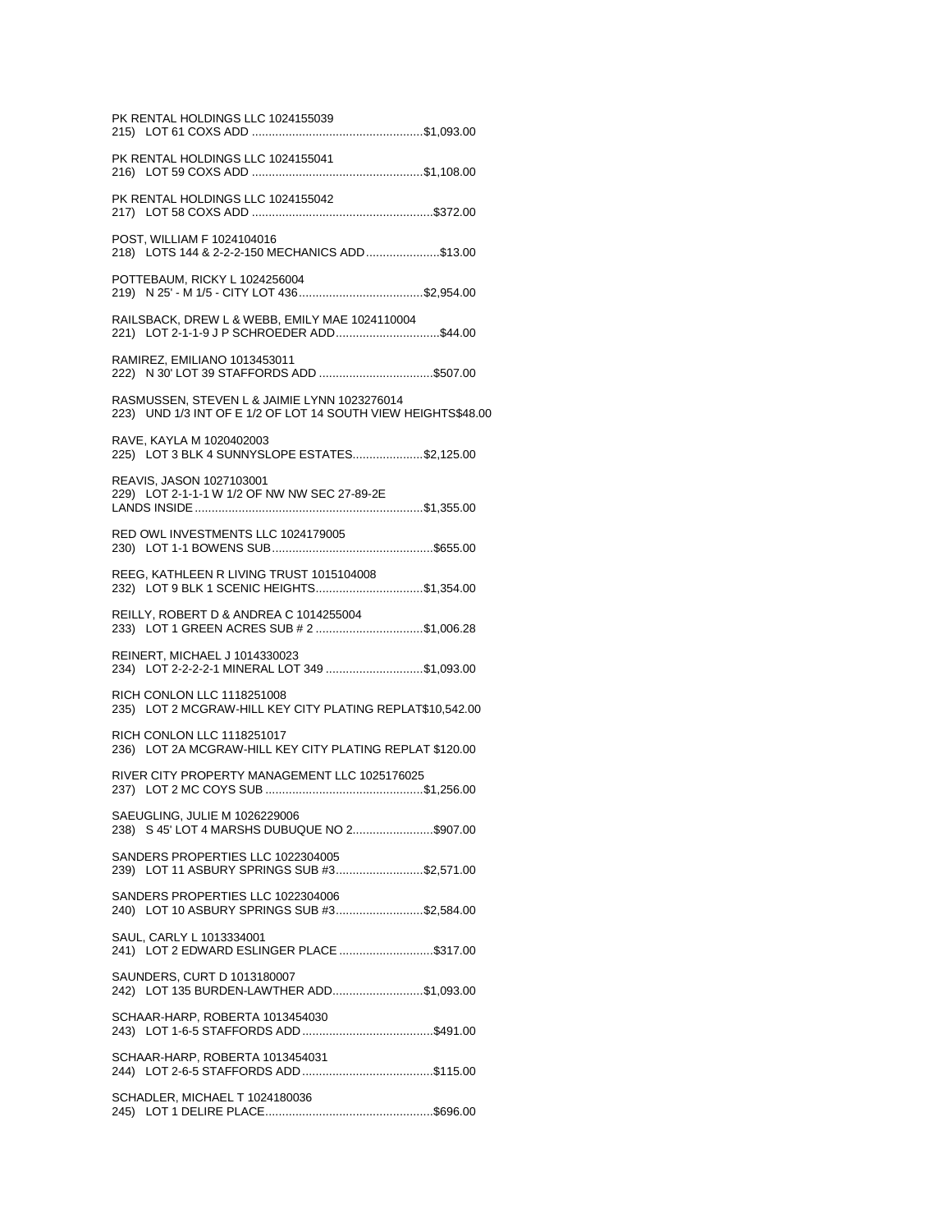| PK RENTAL HOLDINGS LLC 1024155039                                                                             |
|---------------------------------------------------------------------------------------------------------------|
| PK RENTAL HOLDINGS LLC 1024155041                                                                             |
| PK RENTAL HOLDINGS LLC 1024155042                                                                             |
| POST, WILLIAM F 1024104016<br>218) LOTS 144 & 2-2-2-150 MECHANICS ADD\$13.00                                  |
| POTTEBAUM, RICKY L 1024256004                                                                                 |
| RAILSBACK, DREW L & WEBB, EMILY MAE 1024110004<br>221) LOT 2-1-1-9 J P SCHROEDER ADD\$44.00                   |
| RAMIREZ, EMILIANO 1013453011                                                                                  |
| RASMUSSEN, STEVEN L & JAIMIE LYNN 1023276014<br>223) UND 1/3 INT OF E 1/2 OF LOT 14 SOUTH VIEW HEIGHTS\$48.00 |
| RAVE, KAYLA M 1020402003<br>225) LOT 3 BLK 4 SUNNYSLOPE ESTATES\$2,125.00                                     |
| REAVIS, JASON 1027103001<br>229) LOT 2-1-1-1 W 1/2 OF NW NW SEC 27-89-2E                                      |
| RED OWL INVESTMENTS LLC 1024179005                                                                            |
| REEG, KATHLEEN R LIVING TRUST 1015104008<br>232) LOT 9 BLK 1 SCENIC HEIGHTS\$1,354.00                         |
| REILLY, ROBERT D & ANDREA C 1014255004<br>233) LOT 1 GREEN ACRES SUB # 2 \$1,006.28                           |
| REINERT, MICHAEL J 1014330023<br>234) LOT 2-2-2-2-1 MINERAL LOT 349 \$1,093.00                                |
| RICH CONLON LLC 1118251008<br>235) LOT 2 MCGRAW-HILL KEY CITY PLATING REPLAT\$10,542.00                       |
| RICH CONLON LLC 1118251017<br>236) LOT 2A MCGRAW-HILL KEY CITY PLATING REPLAT \$120.00                        |
| RIVER CITY PROPERTY MANAGEMENT LLC 1025176025                                                                 |
| SAEUGLING, JULIE M 1026229006<br>238) S 45' LOT 4 MARSHS DUBUQUE NO 2\$907.00                                 |
| SANDERS PROPERTIES LLC 1022304005<br>239) LOT 11 ASBURY SPRINGS SUB #3\$2,571.00                              |
| SANDERS PROPERTIES LLC 1022304006<br>240) LOT 10 ASBURY SPRINGS SUB #3\$2,584.00                              |
| SAUL, CARLY L 1013334001<br>241) LOT 2 EDWARD ESLINGER PLACE \$317.00                                         |
| SAUNDERS, CURT D 1013180007<br>242) LOT 135 BURDEN-LAWTHER ADD\$1,093.00                                      |
| SCHAAR-HARP, ROBERTA 1013454030                                                                               |
| SCHAAR-HARP, ROBERTA 1013454031                                                                               |
| SCHADLER, MICHAEL T 1024180036                                                                                |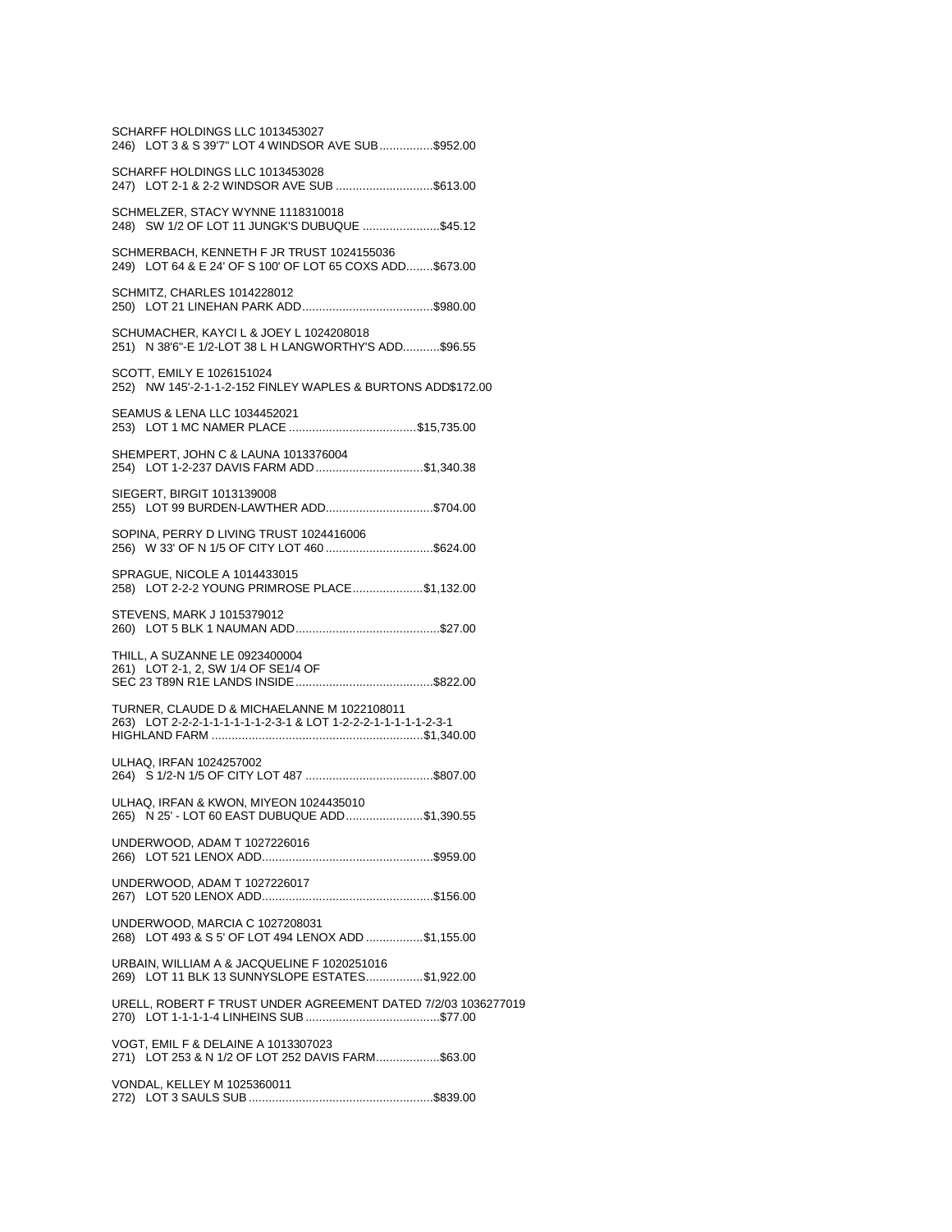| SCHARFF HOLDINGS LLC 1013453027<br>246) LOT 3 & S 39'7" LOT 4 WINDSOR AVE SUB\$952.00                         |  |
|---------------------------------------------------------------------------------------------------------------|--|
| SCHARFF HOLDINGS LLC 1013453028<br>247) LOT 2-1 & 2-2 WINDSOR AVE SUB \$613.00                                |  |
| SCHMELZER, STACY WYNNE 1118310018<br>248) SW 1/2 OF LOT 11 JUNGK'S DUBUQUE \$45.12                            |  |
| SCHMERBACH, KENNETH F JR TRUST 1024155036<br>249) LOT 64 & E 24' OF S 100' OF LOT 65 COXS ADD\$673.00         |  |
| SCHMITZ, CHARLES 1014228012                                                                                   |  |
| SCHUMACHER, KAYCI L & JOEY L 1024208018<br>251) N 38'6"-E 1/2-LOT 38 L H LANGWORTHY'S ADD\$96.55              |  |
| SCOTT, EMILY E 1026151024<br>252) NW 145'-2-1-1-2-152 FINLEY WAPLES & BURTONS ADD\$172.00                     |  |
| SEAMUS & LENA LLC 1034452021                                                                                  |  |
| SHEMPERT, JOHN C & LAUNA 1013376004<br>254) LOT 1-2-237 DAVIS FARM ADD \$1,340.38                             |  |
| SIEGERT, BIRGIT 1013139008<br>255) LOT 99 BURDEN-LAWTHER ADD\$704.00                                          |  |
| SOPINA, PERRY D LIVING TRUST 1024416006<br>256) W 33' OF N 1/5 OF CITY LOT 460 \$624.00                       |  |
| SPRAGUE, NICOLE A 1014433015<br>258) LOT 2-2-2 YOUNG PRIMROSE PLACE\$1,132.00                                 |  |
| STEVENS, MARK J 1015379012                                                                                    |  |
| THILL, A SUZANNE LE 0923400004<br>261) LOT 2-1, 2, SW 1/4 OF SE1/4 OF                                         |  |
| TURNER, CLAUDE D & MICHAELANNE M 1022108011<br>263) LOT 2-2-2-1-1-1-1-1-1-2-3-1 & LOT 1-2-2-2-1-1-1-1-1-2-3-1 |  |
| ULHAQ, IRFAN 1024257002                                                                                       |  |
| ULHAQ, IRFAN & KWON, MIYEON 1024435010<br>265) N 25' - LOT 60 EAST DUBUQUE ADD\$1,390.55                      |  |
| UNDERWOOD, ADAM T 1027226016                                                                                  |  |
| UNDERWOOD, ADAM T 1027226017                                                                                  |  |
| UNDERWOOD, MARCIA C 1027208031<br>268) LOT 493 & S 5' OF LOT 494 LENOX ADD \$1,155.00                         |  |
| URBAIN, WILLIAM A & JACQUELINE F 1020251016<br>269) LOT 11 BLK 13 SUNNYSLOPE ESTATES\$1,922.00                |  |
| URELL, ROBERT F TRUST UNDER AGREEMENT DATED 7/2/03 1036277019                                                 |  |
| VOGT, EMIL F & DELAINE A 1013307023<br>271) LOT 253 & N 1/2 OF LOT 252 DAVIS FARM\$63.00                      |  |
| VONDAL, KELLEY M 1025360011                                                                                   |  |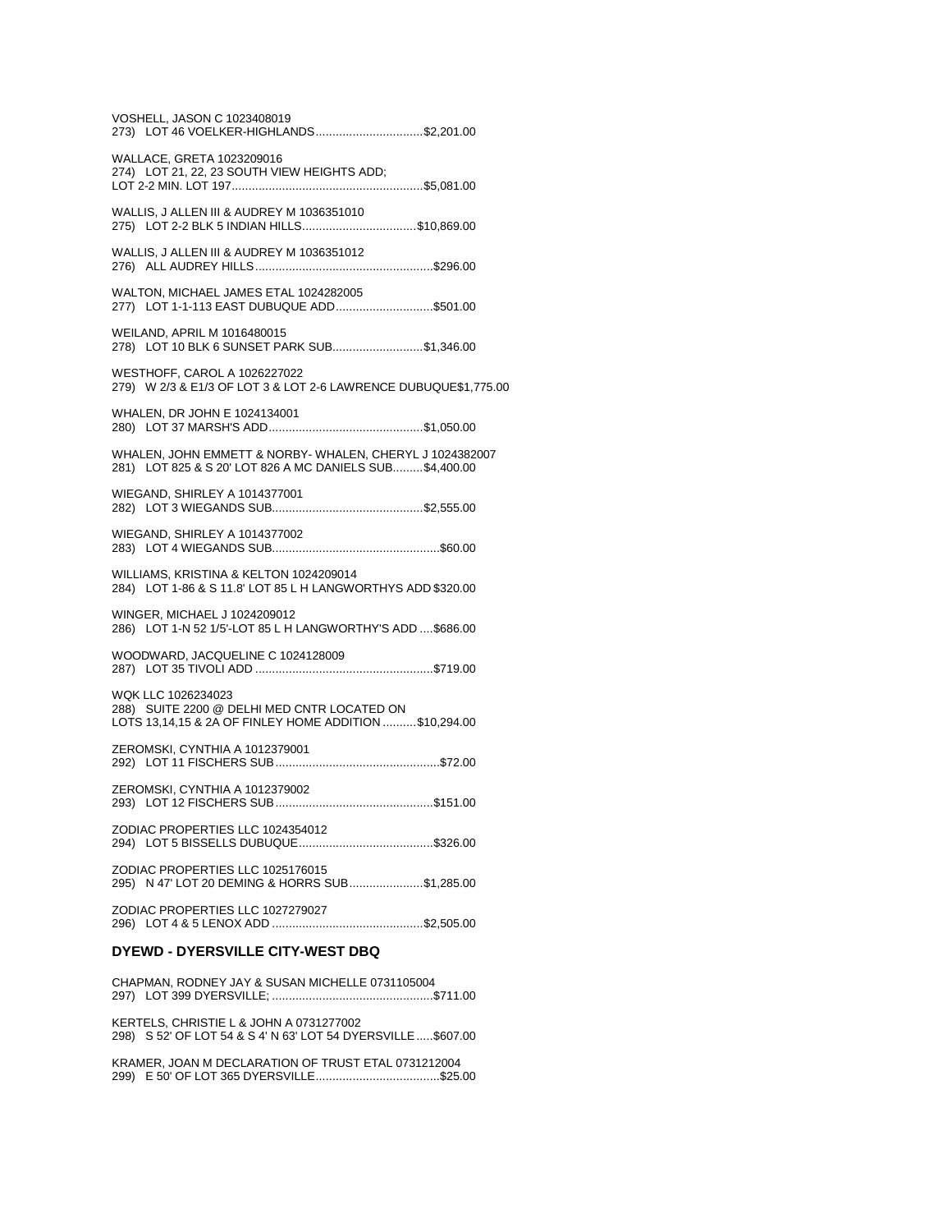| VOSHELL, JASON C 1023408019<br>273) LOT 46 VOELKER-HIGHLANDS\$2,201.00                                                       |
|------------------------------------------------------------------------------------------------------------------------------|
| WALLACE, GRETA 1023209016<br>274) LOT 21, 22, 23 SOUTH VIEW HEIGHTS ADD;                                                     |
| WALLIS, J ALLEN III & AUDREY M 1036351010<br>275) LOT 2-2 BLK 5 INDIAN HILLS\$10,869.00                                      |
| WALLIS, J ALLEN III & AUDREY M 1036351012                                                                                    |
| WALTON, MICHAEL JAMES ETAL 1024282005<br>277) LOT 1-1-113 EAST DUBUQUE ADD\$501.00                                           |
| WEILAND, APRIL M 1016480015<br>278) LOT 10 BLK 6 SUNSET PARK SUB\$1,346.00                                                   |
| WESTHOFF, CAROL A 1026227022<br>279) W 2/3 & E1/3 OF LOT 3 & LOT 2-6 LAWRENCE DUBUQUE\$1,775.00                              |
| WHALEN, DR JOHN E 1024134001                                                                                                 |
| WHALEN, JOHN EMMETT & NORBY- WHALEN, CHERYL J 1024382007<br>281) LOT 825 & S 20' LOT 826 A MC DANIELS SUB \$4,400.00         |
| WIEGAND, SHIRLEY A 1014377001                                                                                                |
| WIEGAND, SHIRLEY A 1014377002                                                                                                |
| WILLIAMS, KRISTINA & KELTON 1024209014<br>284) LOT 1-86 & S 11.8' LOT 85 L H LANGWORTHYS ADD \$320.00                        |
| WINGER, MICHAEL J 1024209012<br>286) LOT 1-N 52 1/5'-LOT 85 L H LANGWORTHY'S ADD  \$686.00                                   |
| WOODWARD, JACQUELINE C 1024128009                                                                                            |
| WQK LLC 1026234023<br>288) SUITE 2200 @ DELHI MED CNTR LOCATED ON<br>LOTS 13,14,15 & 2A OF FINLEY HOME ADDITION  \$10,294.00 |
| ZEROMSKI, CYNTHIA A 1012379001                                                                                               |
| ZEROMSKI, CYNTHIA A 1012379002                                                                                               |
| ZODIAC PROPERTIES LLC 1024354012                                                                                             |
| ZODIAC PROPERTIES LLC 1025176015<br>295) N 47' LOT 20 DEMING & HORRS SUB\$1,285.00                                           |
| ZODIAC PROPERTIES LLC 1027279027                                                                                             |
|                                                                                                                              |

# **DYEWD - DYERSVILLE CITY-WEST DBQ**

KERTELS, CHRISTIE L & JOHN A 0731277002 298) S 52' OF LOT 54 & S 4' N 63' LOT 54 DYERSVILLE.....\$607.00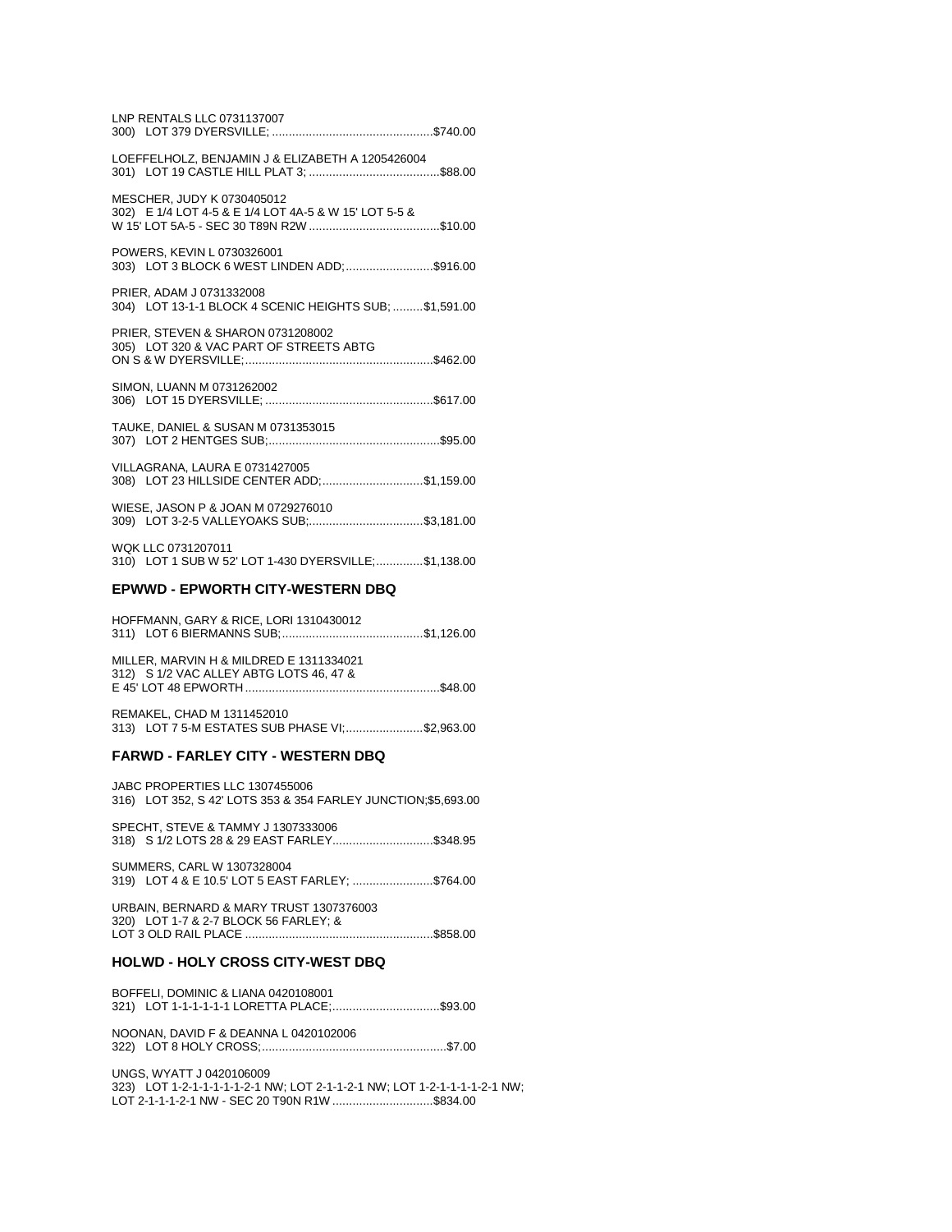| <b>EDWIND, EDWORTH CITY, WESTERN DRO</b>                                            |
|-------------------------------------------------------------------------------------|
| WQK LLC 0731207011<br>310) LOT 1 SUB W 52' LOT 1-430 DYERSVILLE;\$1,138.00          |
| WIESE, JASON P & JOAN M 0729276010<br>309) LOT 3-2-5 VALLEYOAKS SUB;\$3,181.00      |
| VILLAGRANA, LAURA E 0731427005<br>308) LOT 23 HILLSIDE CENTER ADD; \$1,159.00       |
| TAUKE, DANIEL & SUSAN M 0731353015                                                  |
| SIMON, LUANN M 0731262002                                                           |
| PRIER, STEVEN & SHARON 0731208002<br>305) LOT 320 & VAC PART OF STREETS ABTG        |
| PRIER, ADAM J 0731332008<br>304) LOT 13-1-1 BLOCK 4 SCENIC HEIGHTS SUB;  \$1,591.00 |
| POWERS, KEVIN L 0730326001<br>303) LOT 3 BLOCK 6 WEST LINDEN ADD; \$916.00          |
| MESCHER, JUDY K 0730405012<br>302) E 1/4 LOT 4-5 & E 1/4 LOT 4A-5 & W 15' LOT 5-5 & |
| LOEFFELHOLZ, BENJAMIN J & ELIZABETH A 1205426004                                    |
| LNP RENTALS LLC 0731137007                                                          |

#### **EPWWD - EPWORTH CITY-WESTERN DBQ**

| HOFFMANN, GARY & RICE, LORI 1310430012                                             |  |
|------------------------------------------------------------------------------------|--|
| MILLER, MARVIN H & MILDRED E 1311334021<br>312) S 1/2 VAC ALLEY ABTG LOTS 46, 47 & |  |
| REMAKEL, CHAD M 1311452010<br>313) LOT 7 5-M ESTATES SUB PHASE VI;\$2,963.00       |  |

#### **FARWD - FARLEY CITY - WESTERN DBQ**

| JABC PROPERTIES LLC 1307455006<br>316) LOT 352, S 42' LOTS 353 & 354 FARLEY JUNCTION; \$5,693.00 |
|--------------------------------------------------------------------------------------------------|
| SPECHT. STEVE & TAMMY J 1307333006<br>318) S 1/2 LOTS 28 & 29 EAST FARLEY\$348.95                |
| SUMMERS, CARL W 1307328004<br>319) LOT 4 & E 10.5' LOT 5 EAST FARLEY; \$764.00                   |
| URBAIN, BERNARD & MARY TRUST 1307376003                                                          |

| 320) LOT 1-7 & 2-7 BLOCK 56 FARLEY; & |  |
|---------------------------------------|--|
|                                       |  |

# **HOLWD - HOLY CROSS CITY-WEST DBQ**

| BOFFELI, DOMINIC & LIANA 0420108001        |  |
|--------------------------------------------|--|
| 321) LOT 1-1-1-1-1-1 LORETTA PLACE;\$93.00 |  |

NOONAN, DAVID F & DEANNA L 0420102006 

## UNGS, WYATT J 0420106009

323) LOT 1-2-1-1-1-1-1-2-1 NW; LOT 2-1-1-2-1 NW; LOT 1-2-1-1-1-1-2-1 NW;<br>LOT 2-1-1-1-2-1 NW - SEC 20 T90N R1W ............................\$834.00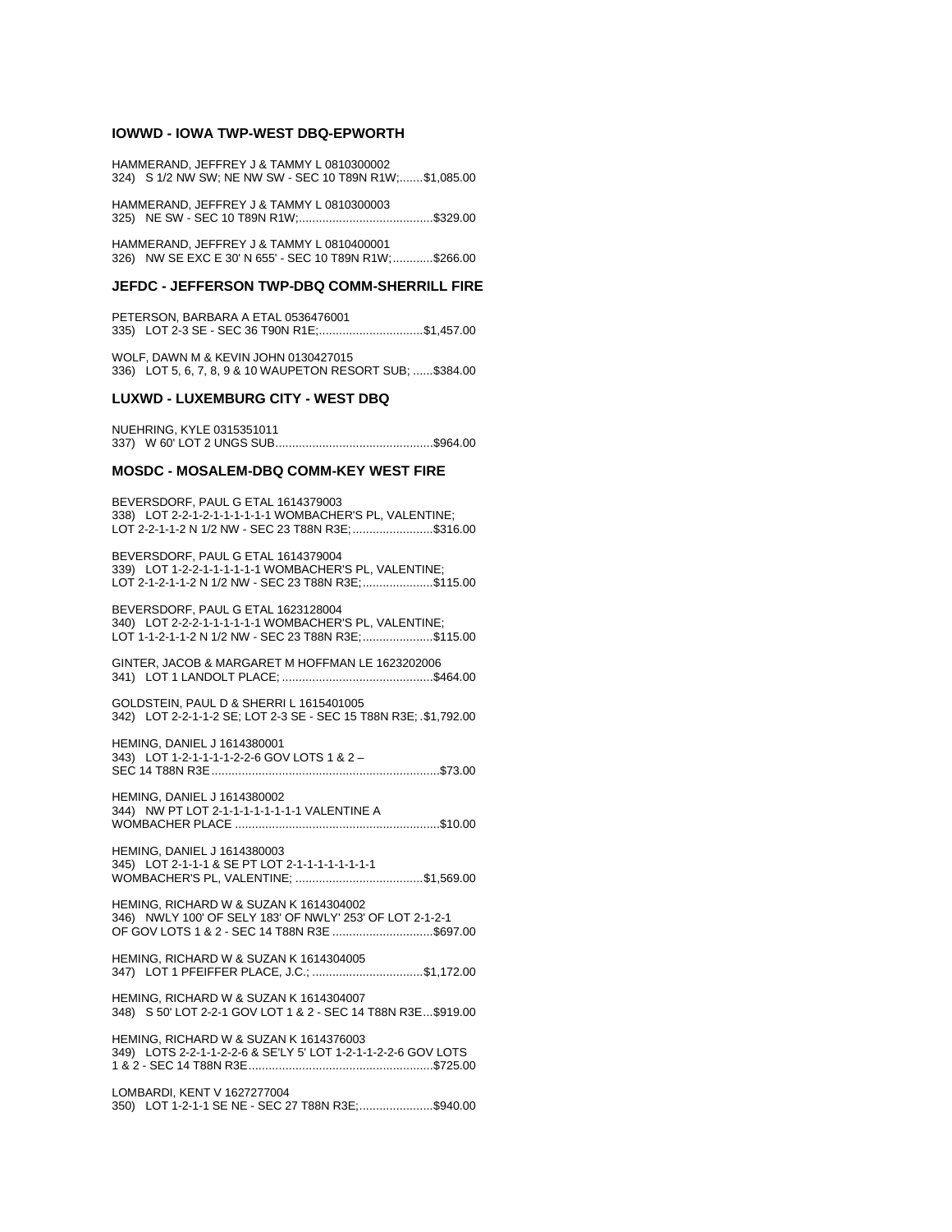#### **IOWWD - IOWA TWP-WEST DBO-FPWORTH**

HAMMERAND, JEFFREY J & TAMMY L 0810300002 324) S 1/2 NW SW; NE NW SW - SEC 10 T89N R1W;....... \$1,085.00

HAMMERAND, JEFFREY J & TAMMY L 0810300003 

HAMMERAND, JEFFREY J & TAMMY L 0810400001 326) NW SE EXC E 30' N 655' - SEC 10 T89N R1W; ............ \$266.00

#### JEFDC - JEFFERSON TWP-DBQ COMM-SHERRILL FIRE

PETERSON, BARBARA A ETAL 0536476001 335) LOT 2-3 SE - SEC 36 T90N R1E;..............................\$1,457.00

WOLF, DAWN M & KEVIN JOHN 0130427015 336) LOT 5, 6, 7, 8, 9 & 10 WAUPETON RESORT SUB; ...... \$384.00

#### **LUXWD - LUXEMBURG CITY - WEST DBQ**

NUEHRING, KYLE 0315351011 

#### MOSDC - MOSALEM-DBQ COMM-KEY WEST FIRE

BEVERSDORE PAUL G FTAL 1614379003 338) LOT 2-2-1-2-1-1-1-1-1-1 WOMBACHER'S PL, VALENTINE; LOT 2-2-1-1-2 N 1/2 NW - SEC 23 T88N R3E; ........................\$316.00

BEVERSDORF, PAUL G ETAL 1614379004 339) LOT 1-2-2-1-1-1-1-1-1 WOMBACHER'S PL, VALENTINE; LOT 2-1-2-1-1-2 N 1/2 NW - SEC 23 T88N R3E; .....................\$115.00

BEVERSDORF, PAUL G ETAL 1623128004 340) LOT 2-2-2-1-1-1-1-1-1 WOMBACHER'S PL, VALENTINE; LOT 1-1-2-1-1-2 N 1/2 NW - SEC 23 T88N R3E;....................\$115.00

GINTER, JACOB & MARGARET M HOFFMAN LE 1623202006 

GOLDSTEIN, PAUL D & SHERRI L 1615401005 342) LOT 2-2-1-1-2 SE; LOT 2-3 SE - SEC 15 T88N R3E; .\$1,792.00

**HEMING, DANIEL J 1614380001** 343) LOT 1-2-1-1-1-1-2-2-6 GOV LOTS 1 & 2-

HEMING, DANIEL J 1614380002 344) NW PT LOT 2-1-1-1-1-1-1-1-1 VALENTINE A 

**HEMING. DANIEL J 1614380003** 345) LOT 2-1-1-1 & SE PT LOT 2-1-1-1-1-1-1-1-1-1 

HEMING. RICHARD W & SUZAN K 1614304002 346) NWLY 100' OF SELY 183' OF NWLY' 253' OF LOT 2-1-2-1 OF GOV LOTS 1 & 2 - SEC 14 T88N R3E ..............................\$697.00

HEMING, RICHARD W & SUZAN K 1614304005 347) LOT 1 PFEIFFER PLACE, J.C.; ................................\$1,172.00

HEMING, RICHARD W & SUZAN K 1614304007 348) S 50' LOT 2-2-1 GOV LOT 1 & 2 - SEC 14 T88N R3E...\$919.00

HEMING, RICHARD W & SUZAN K 1614376003 349) LOTS 2-2-1-1-2-2-6 & SE'LY 5' LOT 1-2-1-1-2-2-6 GOV LOTS 

LOMBARDI, KENT V 1627277004 350) LOT 1-2-1-1 SE NE - SEC 27 T88N R3E;......................\$940.00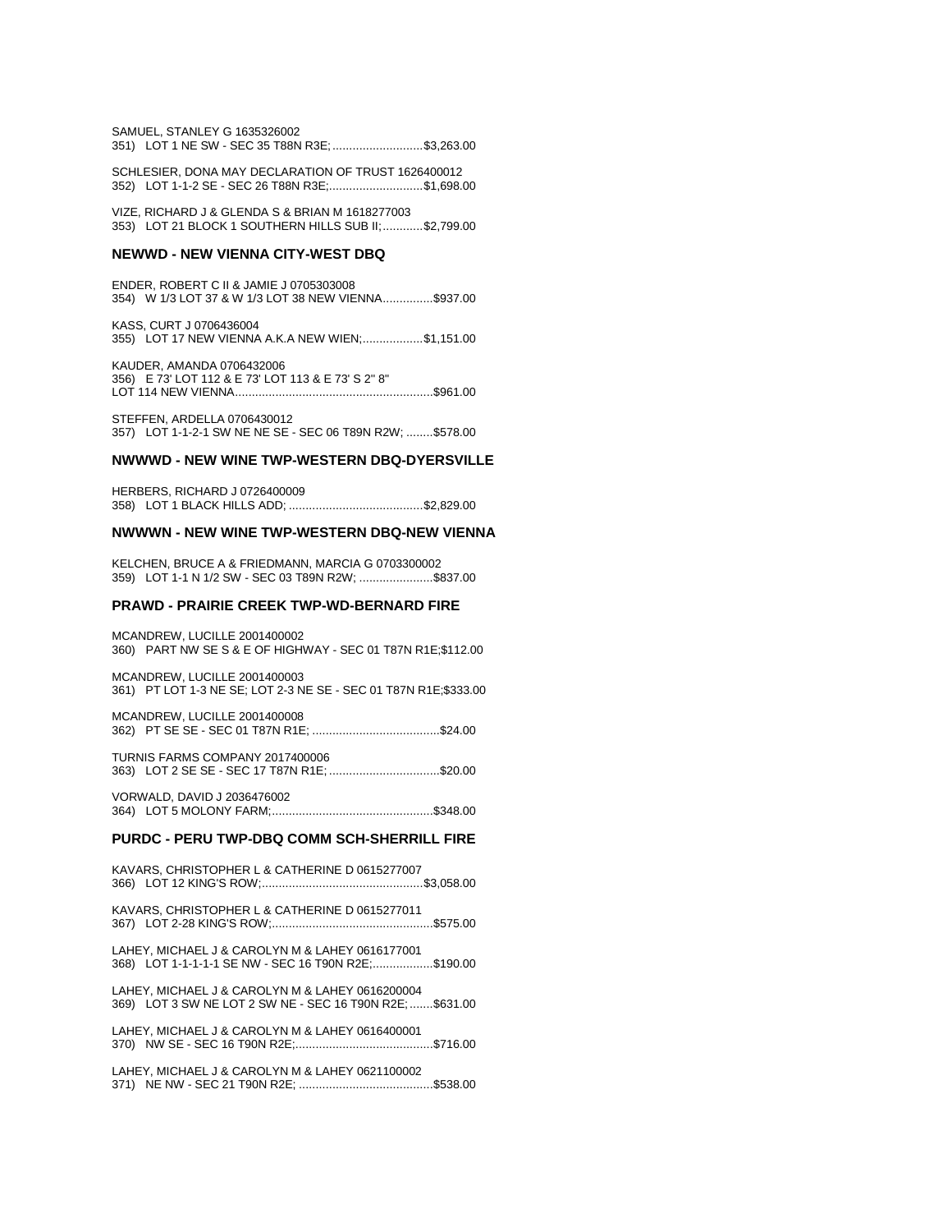SAMUEL. STANLEY G 1635326002 351) LOT 1 NE SW - SEC 35 T88N R3E; ............................\$3.263.00

SCHLESIER, DONA MAY DECLARATION OF TRUST 1626400012 352) LOT 1-1-2 SE - SEC 26 T88N R3E;............................\$1,698.00

VIZE, RICHARD J & GLENDA S & BRIAN M 1618277003 353) LOT 21 BLOCK 1 SOUTHERN HILLS SUB II: ............ \$2,799.00

#### **NEWWD - NEW VIENNA CITY-WEST DBQ**

ENDER, ROBERT C II & JAMIE J 0705303008 354) W 1/3 LOT 37 & W 1/3 LOT 38 NEW VIENNA...............\$937.00

KASS, CURT J 0706436004 355) LOT 17 NEW VIENNA A.K.A NEW WIEN;.................\$1,151.00

KAUDER, AMANDA 0706432006 356) E 73' LOT 112 & E 73' LOT 113 & E 73' S 2" 8" 

STEFFEN, ARDELLA 0706430012 357) LOT 1-1-2-1 SW NE NE SE - SEC 06 T89N R2W; ........ \$578.00

## NWWWD - NEW WINE TWP-WESTERN DBQ-DYERSVILLE

HERBERS, RICHARD J 0726400009 

#### NWWWN - NEW WINE TWP-WESTERN DBQ-NEW VIENNA

KELCHEN, BRUCE A & FRIEDMANN, MARCIA G 0703300002 359) LOT 1-1 N 1/2 SW - SEC 03 T89N R2W; ......................\$837.00

#### **PRAWD - PRAIRIE CREEK TWP-WD-BERNARD FIRE**

MCANDREW, LUCILLE 2001400002 360) PART NW SE S & E OF HIGHWAY - SEC 01 T87N R1E; \$112.00

MCANDREW, LUCILLE 2001400003 361) PT LOT 1-3 NE SE; LOT 2-3 NE SE - SEC 01 T87N R1E; \$333.00

MCANDREW, LUCILLE 2001400008 

TURNIS FARMS COMPANY 2017400006 363) LOT 2 SE SE - SEC 17 T87N R1E; .................................\$20.00

VORWALD, DAVID J 2036476002 

## PURDC - PERU TWP-DBQ COMM SCH-SHERRILL FIRE

| KAVARS, CHRISTOPHER L & CATHERINE D 0615277007                                                              |
|-------------------------------------------------------------------------------------------------------------|
| KAVARS, CHRISTOPHER L & CATHERINE D 0615277011                                                              |
| LAHEY, MICHAEL J & CAROLYN M & LAHEY 0616177001<br>368) LOT 1-1-1-1-1 SE NW - SEC 16 T90N R2E;\$190.00      |
| LAHEY, MICHAEL J & CAROLYN M & LAHEY 0616200004<br>369) LOT 3 SW NE LOT 2 SW NE - SEC 16 T90N R2E: \$631.00 |
| LAHEY, MICHAEL J & CAROLYN M & LAHEY 0616400001                                                             |
| LAHEY, MICHAEL J & CAROLYN M & LAHEY 0621100002                                                             |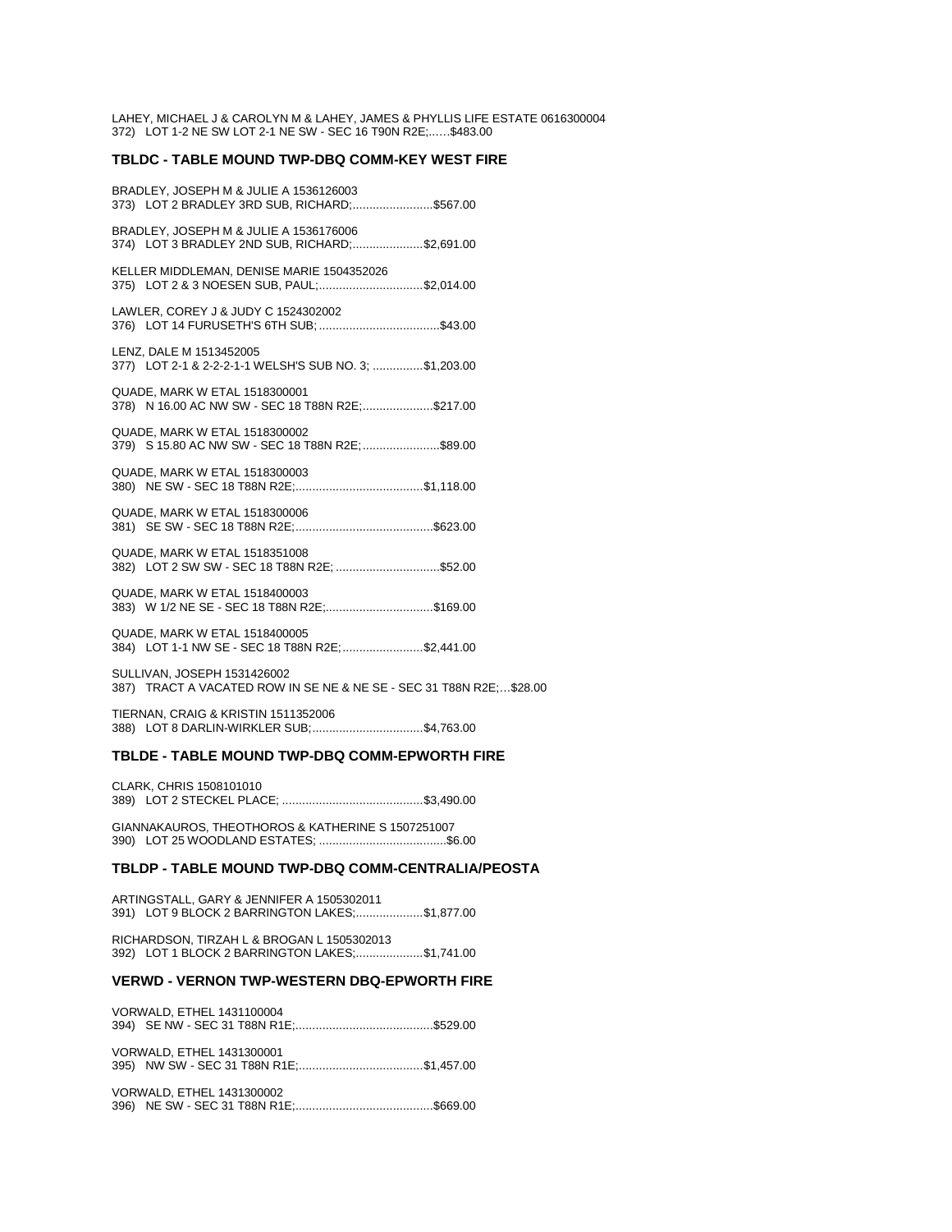LAHEY, MICHAEL J & CAROLYN M & LAHEY, JAMES & PHYLLIS LIFE ESTATE 0616300004 372) LOT 1-2 NE SW LOT 2-1 NE SW - SEC 16 T90N R2E;......\$483.00

#### TBLDC - TABLE MOUND TWP-DBQ COMM-KEY WEST FIRE

| BRADLEY, JOSEPH M & JULIE A 1536126003<br>373) LOT 2 BRADLEY 3RD SUB, RICHARD;\$567.00   |
|------------------------------------------------------------------------------------------|
| BRADLEY, JOSEPH M & JULIE A 1536176006<br>374) LOT 3 BRADLEY 2ND SUB, RICHARD;\$2,691.00 |
| KELLER MIDDLEMAN, DENISE MARIE 1504352026<br>375) LOT 2 & 3 NOESEN SUB, PAUL;\$2,014.00  |
| LAWLER, COREY J & JUDY C 1524302002                                                      |
| LENZ, DALE M 1513452005<br>377) LOT 2-1 & 2-2-2-1-1 WELSH'S SUB NO. 3;  \$1,203.00       |
| QUADE, MARK W ETAL 1518300001<br>378) N 16.00 AC NW SW - SEC 18 T88N R2E;\$217.00        |
| QUADE, MARK W ETAL 1518300002<br>379) S 15.80 AC NW SW - SEC 18 T88N R2E; \$89.00        |
| QUADE, MARK W ETAL 1518300003                                                            |
| QUADE, MARK W ETAL 1518300006                                                            |
| QUADE, MARK W ETAL 1518351008<br>382) LOT 2 SW SW - SEC 18 T88N R2E; \$52.00             |
| QUADE, MARK W ETAL 1518400003<br>383) W 1/2 NE SE - SEC 18 T88N R2E:\$169.00             |
| QUADE, MARK W ETAL 1518400005<br>384) LOT 1-1 NW SE - SEC 18 T88N R2E;\$2,441.00         |
| SULLIVAN JOSEPH 1531426002                                                               |

387) TRACT A VACATED ROW IN SE NE & NE SE - SEC 31 T88N R2E;...\$28.00

TIERNAN, CRAIG & KRISTIN 1511352006 

#### TBLDE - TABLE MOUND TWP-DBQ COMM-EPWORTH FIRE

CLARK, CHRIS 1508101010 

GIANNAKAUROS, THEOTHOROS & KATHERINE S 1507251007 

## TBLDP - TABLE MOUND TWP-DBQ COMM-CENTRALIA/PEOSTA

ARTINGSTALL, GARY & JENNIFER A 1505302011 391) LOT 9 BLOCK 2 BARRINGTON LAKES;....................\$1,877.00

RICHARDSON, TIRZAH L & BROGAN L 1505302013 392) LOT 1 BLOCK 2 BARRINGTON LAKES:....................\$1,741.00

#### **VERWD - VERNON TWP-WESTERN DBQ-EPWORTH FIRE**

| VORWALD, ETHEL 1431100004 |  |
|---------------------------|--|
| VORWALD, ETHEL 1431300001 |  |

VORWALD, ETHEL 1431300002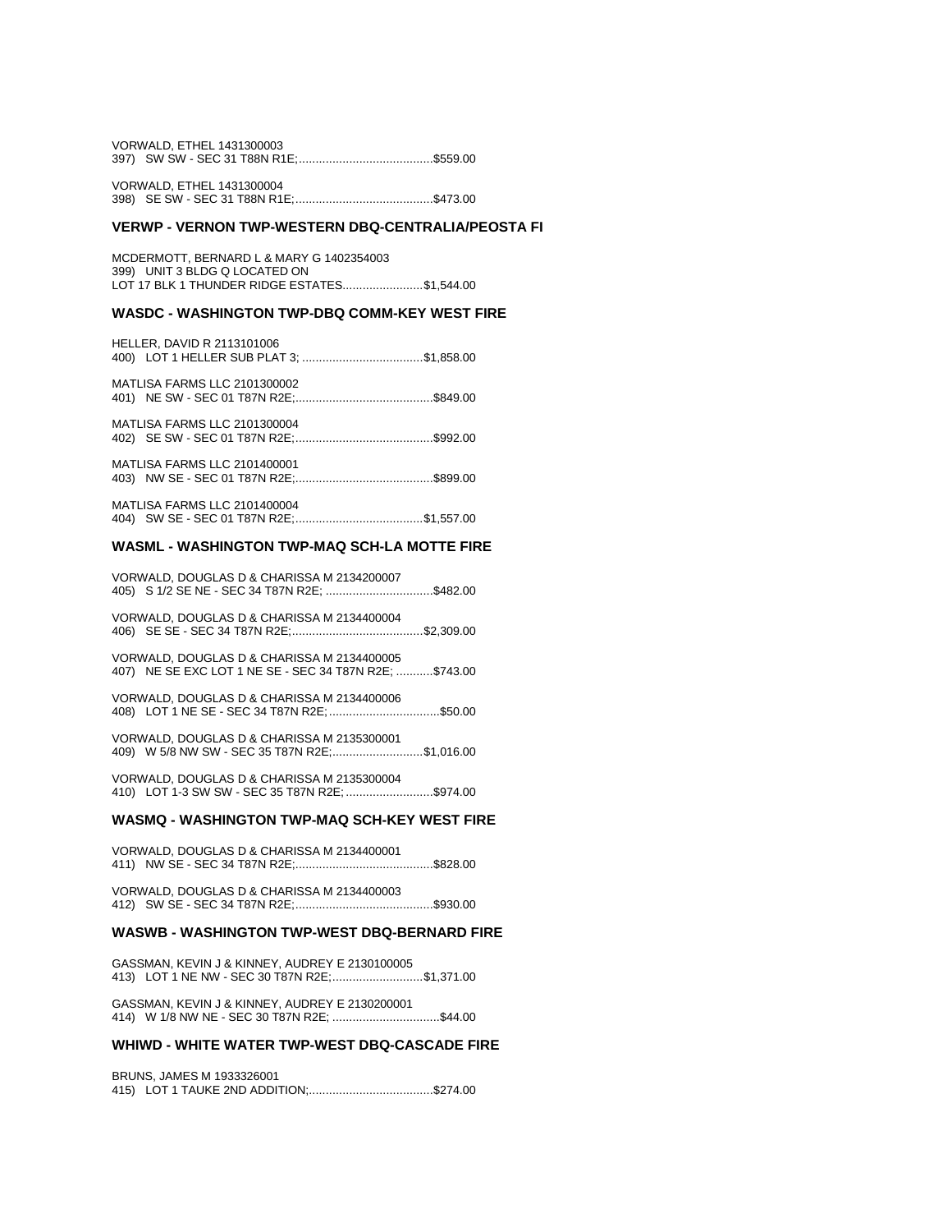VORWALD, ETHEL 1431300003 

VORWALD, ETHEL 1431300004 

## VERWP - VERNON TWP-WESTERN DBQ-CENTRALIA/PEOSTA FI

MCDERMOTT, BERNARD L & MARY G 1402354003 399) UNIT 3 BLDG Q LOCATED ON LOT 17 BLK 1 THUNDER RIDGE ESTATES........................\$1,544.00

#### **WASDC - WASHINGTON TWP-DBQ COMM-KEY WEST FIRE**

| HELLER, DAVID R 2113101006          |  |
|-------------------------------------|--|
| <b>MATLISA FARMS LLC 2101300002</b> |  |
| MATLISA FARMS LLC 2101300004        |  |
| MATLISA FARMS LLC 2101400001        |  |
| <b>MATLISA FARMS LLC 2101400004</b> |  |

#### WASML - WASHINGTON TWP-MAQ SCH-LA MOTTE FIRE

| WASMQ - WASHINGTON TWP-MAQ SCH-KEY WEST FIRE                                                          |  |
|-------------------------------------------------------------------------------------------------------|--|
| VORWALD, DOUGLAS D & CHARISSA M 2135300004<br>410) LOT 1-3 SW SW - SEC 35 T87N R2E; \$974.00          |  |
| VORWALD, DOUGLAS D & CHARISSA M 2135300001<br>409) W 5/8 NW SW - SEC 35 T87N R2E;\$1,016.00           |  |
| VORWALD, DOUGLAS D & CHARISSA M 2134400006                                                            |  |
| VORWALD, DOUGLAS D & CHARISSA M 2134400005<br>407) NE SE EXC LOT 1 NE SE - SEC 34 T87N R2E;  \$743.00 |  |
| VORWALD, DOUGLAS D & CHARISSA M 2134400004                                                            |  |
| VORWALD, DOUGLAS D & CHARISSA M 2134200007<br>405) S 1/2 SE NE - SEC 34 T87N R2E; \$482.00            |  |

| VORWALD, DOUGLAS D & CHARISSA M 2134400001 |  |
|--------------------------------------------|--|
|                                            |  |
|                                            |  |

VORWALD, DOUGLAS D & CHARISSA M 2134400003 

# WASWB - WASHINGTON TWP-WEST DBQ-BERNARD FIRE

GASSMAN, KEVIN J & KINNEY, AUDREY E 2130100005 413) LOT 1 NE NW - SEC 30 T87N R2E;..........................\$1,371.00 GASSMAN, KEVIN J & KINNEY, AUDREY E 2130200001

414) W 1/8 NW NE - SEC 30 T87N R2E; ...............................\$44.00

# WHIWD - WHITE WATER TWP-WEST DBQ-CASCADE FIRE

| BRUNS, JAMES M 1933326001 |  |
|---------------------------|--|
|                           |  |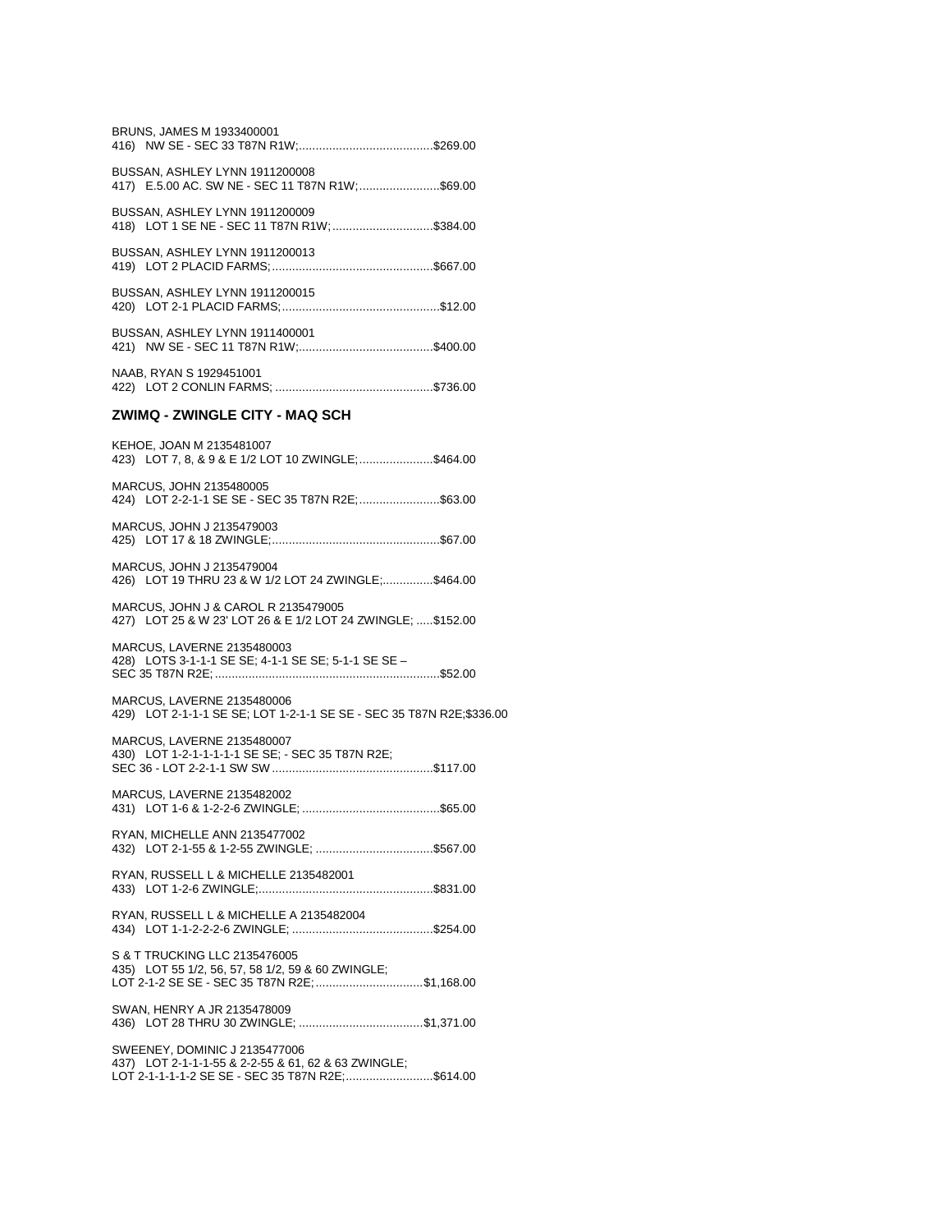| BRUNS, JAMES M 1933400001                                                                                                                |
|------------------------------------------------------------------------------------------------------------------------------------------|
| BUSSAN, ASHLEY LYNN 1911200008<br>417) E.5.00 AC. SW NE - SEC 11 T87N R1W;\$69.00                                                        |
| BUSSAN, ASHLEY LYNN 1911200009<br>418) LOT 1 SE NE - SEC 11 T87N R1W; \$384.00                                                           |
| BUSSAN, ASHLEY LYNN 1911200013                                                                                                           |
| BUSSAN, ASHLEY LYNN 1911200015                                                                                                           |
| BUSSAN, ASHLEY LYNN 1911400001                                                                                                           |
| NAAB, RYAN S 1929451001                                                                                                                  |
| ZWIMQ - ZWINGLE CITY - MAQ SCH                                                                                                           |
| KEHOE, JOAN M 2135481007<br>423) LOT 7, 8, & 9 & E 1/2 LOT 10 ZWINGLE; \$464.00                                                          |
| MARCUS, JOHN 2135480005<br>424) LOT 2-2-1-1 SE SE - SEC 35 T87N R2E;\$63.00                                                              |
| MARCUS, JOHN J 2135479003                                                                                                                |
| MARCUS, JOHN J 2135479004<br>426) LOT 19 THRU 23 & W 1/2 LOT 24 ZWINGLE;\$464.00                                                         |
| MARCUS, JOHN J & CAROL R 2135479005<br>427) LOT 25 & W 23' LOT 26 & E 1/2 LOT 24 ZWINGLE;  \$152.00                                      |
| MARCUS, LAVERNE 2135480003<br>428) LOTS 3-1-1-1 SE SE; 4-1-1 SE SE; 5-1-1 SE SE -                                                        |
| MARCUS, LAVERNE 2135480006<br>429) LOT 2-1-1-1 SE SE; LOT 1-2-1-1 SE SE - SEC 35 T87N R2E; \$336.00                                      |
| MARCUS, LAVERNE 2135480007<br>430) LOT 1-2-1-1-1-1-1 SE SE; - SEC 35 T87N R2E;                                                           |
| MARCUS, LAVERNE 2135482002                                                                                                               |
| RYAN, MICHELLE ANN 2135477002<br>432) LOT 2-1-55 & 1-2-55 ZWINGLE; \$567.00                                                              |
| RYAN, RUSSELL L & MICHELLE 2135482001                                                                                                    |
| RYAN, RUSSELL L & MICHELLE A 2135482004                                                                                                  |
| S & T TRUCKING LLC 2135476005<br>435) LOT 55 1/2, 56, 57, 58 1/2, 59 & 60 ZWINGLE;<br>LOT 2-1-2 SE SE - SEC 35 T87N R2E; \$1,168.00      |
| SWAN, HENRY A JR 2135478009                                                                                                              |
| SWEENEY, DOMINIC J 2135477006<br>437) LOT 2-1-1-1-55 & 2-2-55 & 61, 62 & 63 ZWINGLE;<br>LOT 2-1-1-1-1-2 SE SE - SEC 35 T87N R2E;\$614.00 |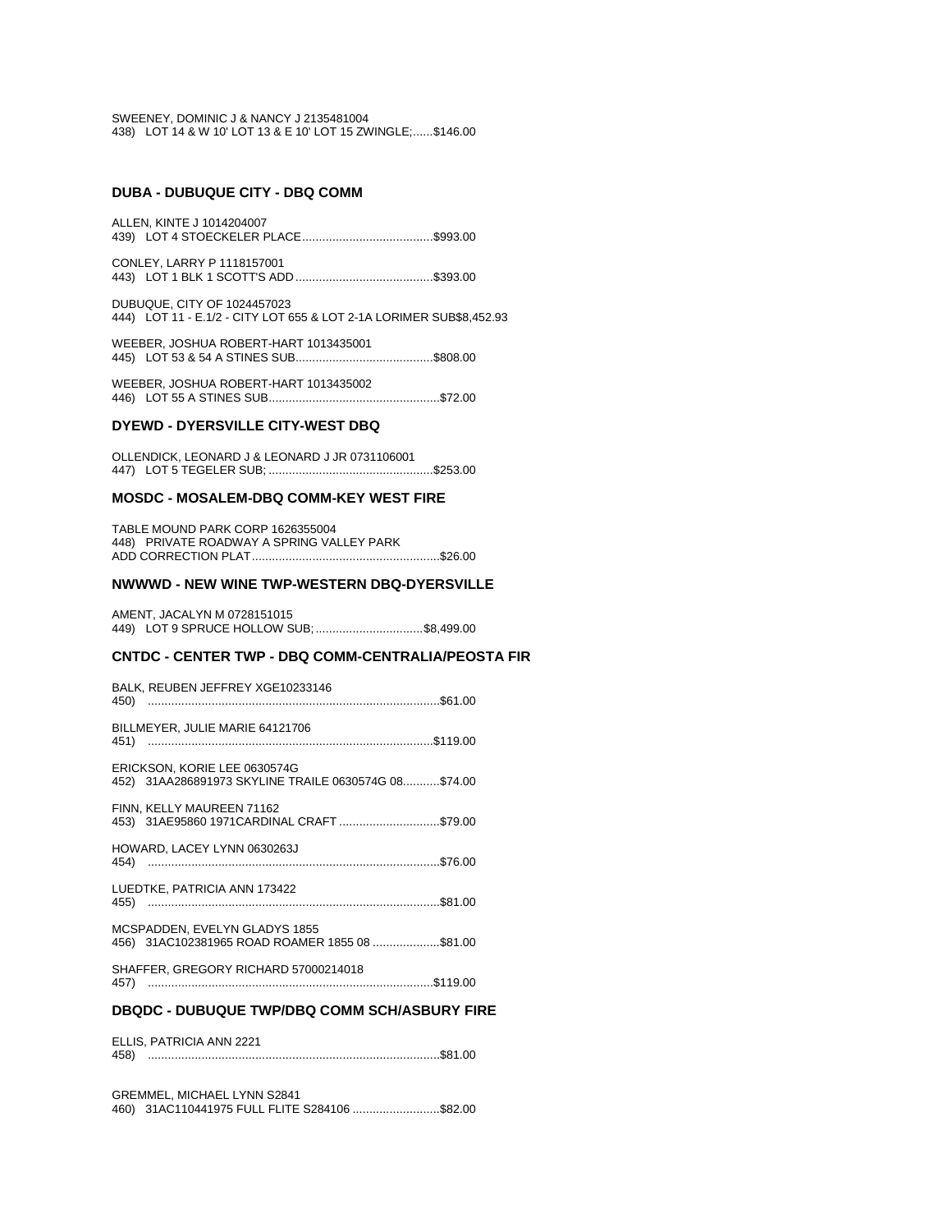SWEENEY, DOMINIC J & NANCY J 2135481004 438) LOT 14 & W 10' LOT 13 & E 10' LOT 15 ZWINGLE;......\$146.00

## **DUBA - DUBUQUE CITY - DBQ COMM**

ALLEN. KINTE J 1014204007 

CONLEY, LARRY P 1118157001 

DUBUQUE, CITY OF 1024457023 444) LOT 11 - E.1/2 - CITY LOT 655 & LOT 2-1A LORIMER SUB\$8,452.93

WEEBER, JOSHUA ROBERT-HART 1013435001 

WEEBER, JOSHUA ROBERT-HART 1013435002 

#### **DYEWD - DYERSVILLE CITY-WEST DBQ**

OLLENDICK, LEONARD J & LEONARD J JR 0731106001 

## **MOSDC - MOSALEM-DBQ COMM-KEY WEST FIRE**

TABLE MOUND PARK CORP 1626355004 448) PRIVATE ROADWAY A SPRING VALLEY PARK 

#### NWWWD - NEW WINE TWP-WESTERN DBQ-DYERSVILLE

AMENT, JACALYN M 0728151015 449) LOT 9 SPRUCE HOLLOW SUB; .................................\$8,499.00

## CNTDC - CENTER TWP - DBQ COMM-CENTRALIA/PEOSTA FIR

| BALK, REUBEN JEFFREY XGE10233146                                                      |
|---------------------------------------------------------------------------------------|
| BILLMEYER, JULIE MARIE 64121706                                                       |
| ERICKSON, KORIE LEE 0630574G<br>452) 31AA286891973 SKYLINE TRAILE 0630574G 08 \$74.00 |
| FINN, KELLY MAUREEN 71162<br>453) 31AE95860 1971CARDINAL CRAFT \$79.00                |
| HOWARD, LACEY LYNN 0630263J                                                           |
| LUEDTKE, PATRICIA ANN 173422                                                          |
| MCSPADDEN, EVELYN GLADYS 1855<br>456) 31AC102381965 ROAD ROAMER 1855 08 \$81.00       |
| SHAFFER, GREGORY RICHARD 57000214018                                                  |

## **DBQDC - DUBUQUE TWP/DBQ COMM SCH/ASBURY FIRE**

|      | ELLIS, PATRICIA ANN 2221 |
|------|--------------------------|
| 458) |                          |

GREMMEL, MICHAEL LYNN S2841 460) 31AC110441975 FULL FLITE S284106 ..........................\$82.00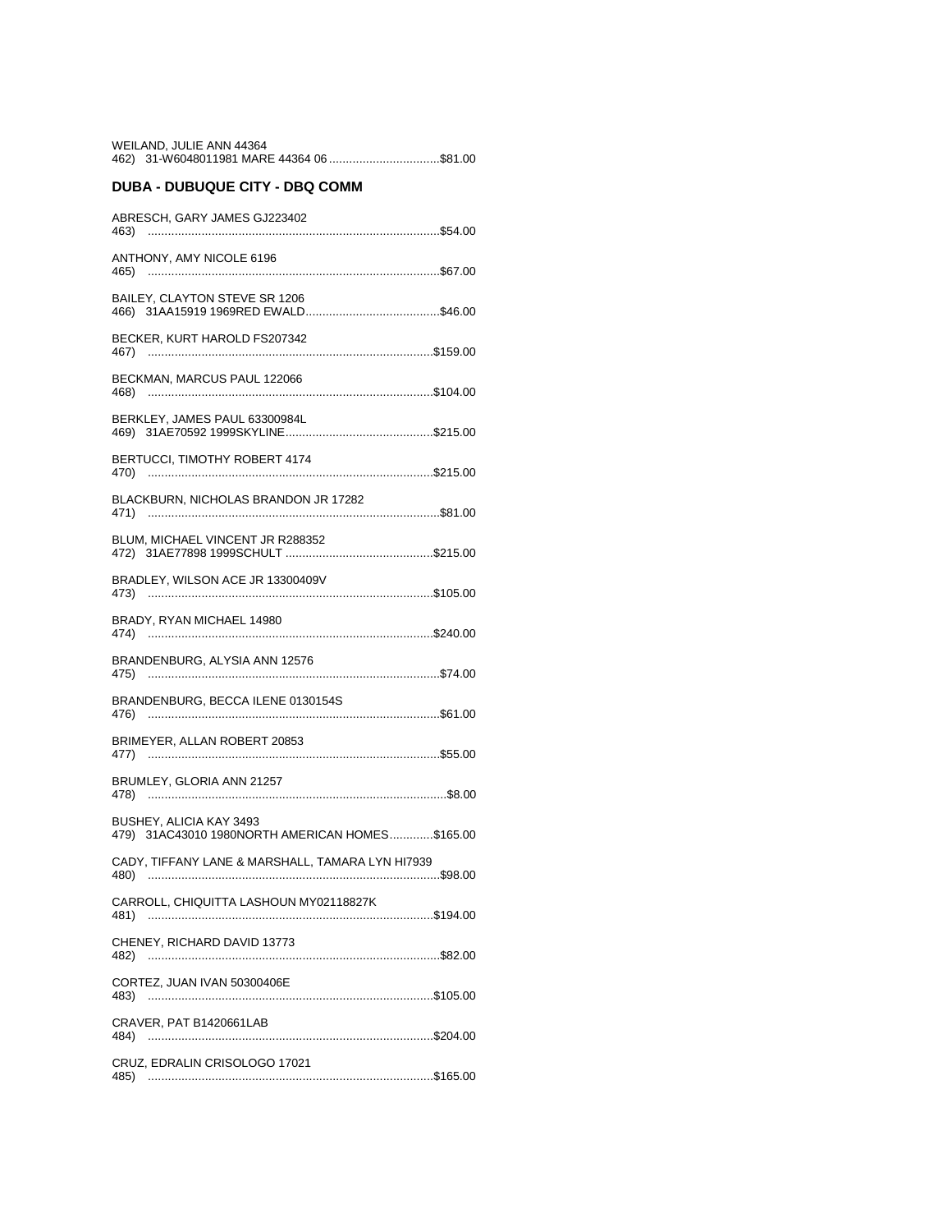| WEILAND, JULIE ANN 44364                                              |  |
|-----------------------------------------------------------------------|--|
| <b>DUBA - DUBUQUE CITY - DBQ COMM</b>                                 |  |
| ABRESCH, GARY JAMES GJ223402<br>463)                                  |  |
| ANTHONY, AMY NICOLE 6196                                              |  |
| BAILEY, CLAYTON STEVE SR 1206                                         |  |
| BECKER, KURT HAROLD FS207342                                          |  |
| BECKMAN, MARCUS PAUL 122066                                           |  |
| BERKLEY, JAMES PAUL 63300984L                                         |  |
| BERTUCCI, TIMOTHY ROBERT 4174<br>470)                                 |  |
| BLACKBURN, NICHOLAS BRANDON JR 17282                                  |  |
| BLUM, MICHAEL VINCENT JR R288352                                      |  |
| BRADLEY, WILSON ACE JR 13300409V                                      |  |
| BRADY, RYAN MICHAEL 14980                                             |  |
| BRANDENBURG, ALYSIA ANN 12576                                         |  |
| BRANDENBURG, BECCA ILENE 0130154S<br>476)                             |  |
| BRIMEYER, ALLAN ROBERT 20853                                          |  |
| BRUMLEY, GLORIA ANN 21257<br>478)                                     |  |
| BUSHEY, ALICIA KAY 3493<br>31AC43010 1980NORTH AMERICAN HOMES\$165.00 |  |
| 479)<br>CADY, TIFFANY LANE & MARSHALL, TAMARA LYN HI7939<br>480)      |  |
| CARROLL, CHIQUITTA LASHOUN MY02118827K                                |  |
| 481)<br>CHENEY, RICHARD DAVID 13773                                   |  |
| 482)<br>CORTEZ, JUAN IVAN 50300406E                                   |  |
| 483)<br>CRAVER, PAT B1420661LAB                                       |  |
| CRUZ, EDRALIN CRISOLOGO 17021                                         |  |
|                                                                       |  |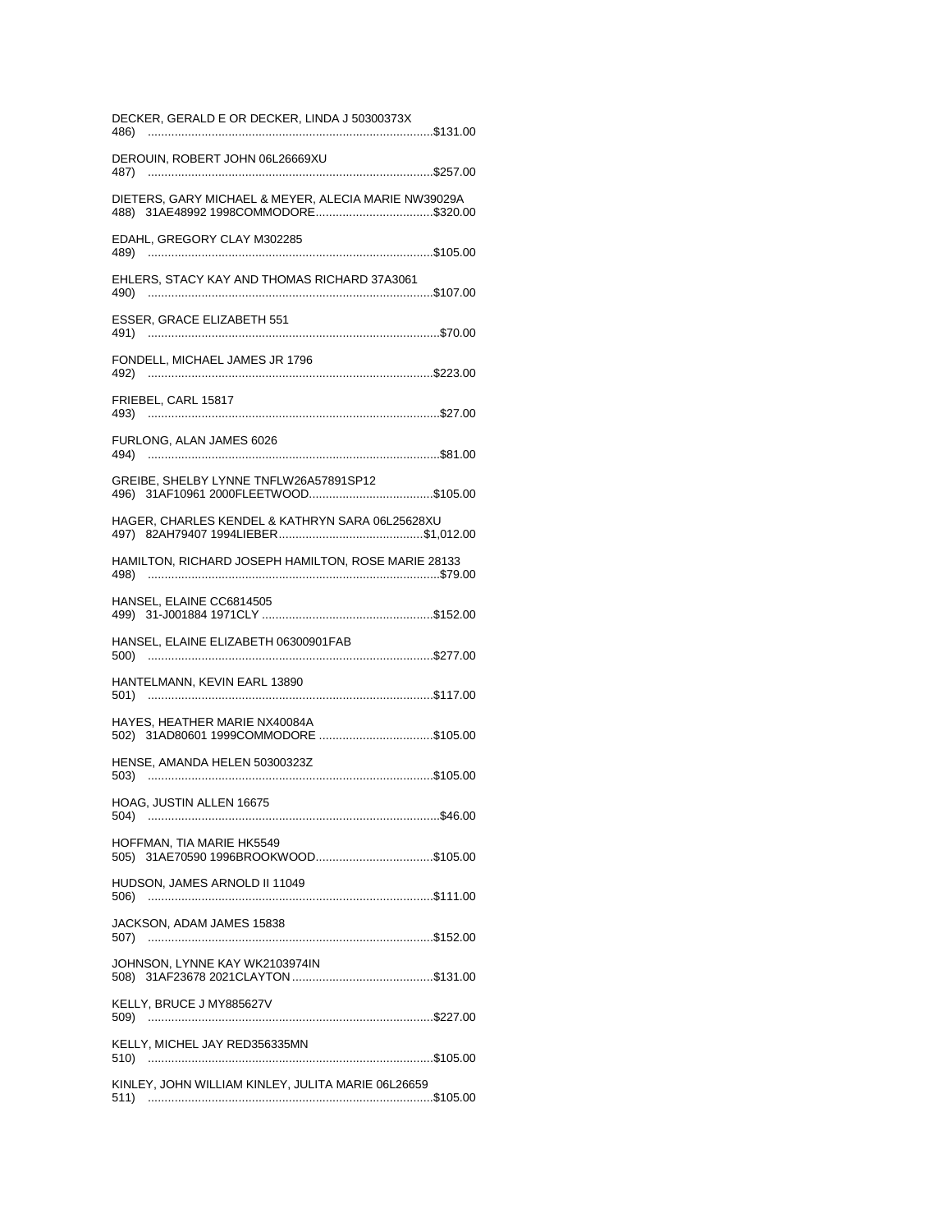| DECKER, GERALD E OR DECKER, LINDA J 50300373X<br>486)                  |  |
|------------------------------------------------------------------------|--|
| DEROUIN, ROBERT JOHN 06L26669XU<br>487)                                |  |
| DIETERS, GARY MICHAEL & MEYER, ALECIA MARIE NW39029A                   |  |
| EDAHL, GREGORY CLAY M302285<br>489)                                    |  |
| EHLERS, STACY KAY AND THOMAS RICHARD 37A3061                           |  |
| ESSER, GRACE ELIZABETH 551                                             |  |
| FONDELL, MICHAEL JAMES JR 1796                                         |  |
| FRIEBEL, CARL 15817<br>493)                                            |  |
| FURLONG, ALAN JAMES 6026                                               |  |
| GREIBE. SHELBY LYNNE TNFLW26A57891SP12                                 |  |
| HAGER, CHARLES KENDEL & KATHRYN SARA 06L25628XU                        |  |
| HAMILTON, RICHARD JOSEPH HAMILTON, ROSE MARIE 28133                    |  |
| HANSEL, ELAINE CC6814505                                               |  |
| HANSEL, ELAINE ELIZABETH 06300901FAB<br>500)                           |  |
| HANTELMANN, KEVIN EARL 13890<br>501)                                   |  |
| HAYES, HEATHER MARIE NX40084A<br>502) 31AD80601 1999COMMODORE \$105.00 |  |
| HENSE, AMANDA HELEN 50300323Z<br>503)                                  |  |
| HOAG, JUSTIN ALLEN 16675<br>504)                                       |  |
| HOFFMAN, TIA MARIE HK5549                                              |  |
| HUDSON, JAMES ARNOLD II 11049<br>506)                                  |  |
| JACKSON, ADAM JAMES 15838<br>507)                                      |  |
| JOHNSON, LYNNE KAY WK2103974IN                                         |  |
| KELLY, BRUCE J MY885627V<br>509)                                       |  |
| KELLY, MICHEL JAY RED356335MN<br>510)                                  |  |
| KINLEY, JOHN WILLIAM KINLEY, JULITA MARIE 06L26659<br>511)             |  |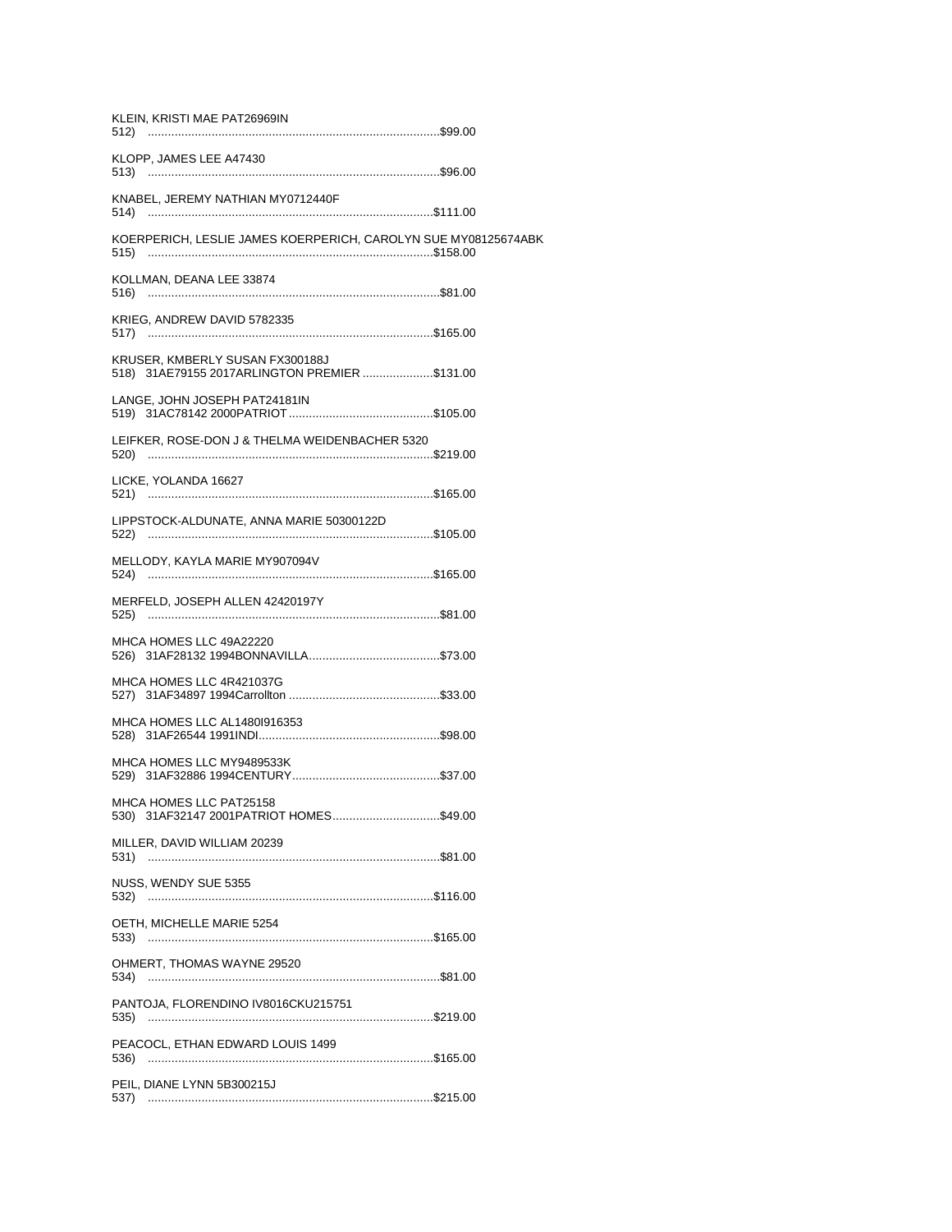| KLEIN, KRISTI MAE PAT26969IN                                                     |  |
|----------------------------------------------------------------------------------|--|
| KLOPP, JAMES LEE A47430                                                          |  |
| KNABEL, JEREMY NATHIAN MY0712440F<br>514)                                        |  |
| KOERPERICH, LESLIE JAMES KOERPERICH, CAROLYN SUE MY08125674ABK                   |  |
| KOLLMAN, DEANA LEE 33874                                                         |  |
| KRIEG, ANDREW DAVID 5782335                                                      |  |
| KRUSER, KMBERLY SUSAN FX300188J<br>518) 31AE79155 2017ARLINGTON PREMIER \$131.00 |  |
| LANGE, JOHN JOSEPH PAT24181IN                                                    |  |
| LEIFKER, ROSE-DON J & THELMA WEIDENBACHER 5320                                   |  |
| LICKE. YOLANDA 16627                                                             |  |
| LIPPSTOCK-ALDUNATE, ANNA MARIE 50300122D                                         |  |
| MELLODY, KAYLA MARIE MY907094V                                                   |  |
| MERFELD, JOSEPH ALLEN 42420197Y                                                  |  |
| MHCA HOMES LLC 49A22220                                                          |  |
| MHCA HOMES LLC 4R421037G                                                         |  |
| MHCA HOMES LLC AL1480I916353                                                     |  |
| MHCA HOMES LLC MY9489533K                                                        |  |
| MHCA HOMES LLC PAT25158<br>530) 31AF32147 2001PATRIOT HOMES\$49.00               |  |
| MILLER, DAVID WILLIAM 20239<br>531)                                              |  |
| NUSS, WENDY SUE 5355<br>532)                                                     |  |
| OETH, MICHELLE MARIE 5254                                                        |  |
| OHMERT, THOMAS WAYNE 29520                                                       |  |
| PANTOJA, FLORENDINO IV8016CKU215751<br>535)                                      |  |
| PEACOCL, ETHAN EDWARD LOUIS 1499<br>536)                                         |  |
| PEIL, DIANE LYNN 5B300215J                                                       |  |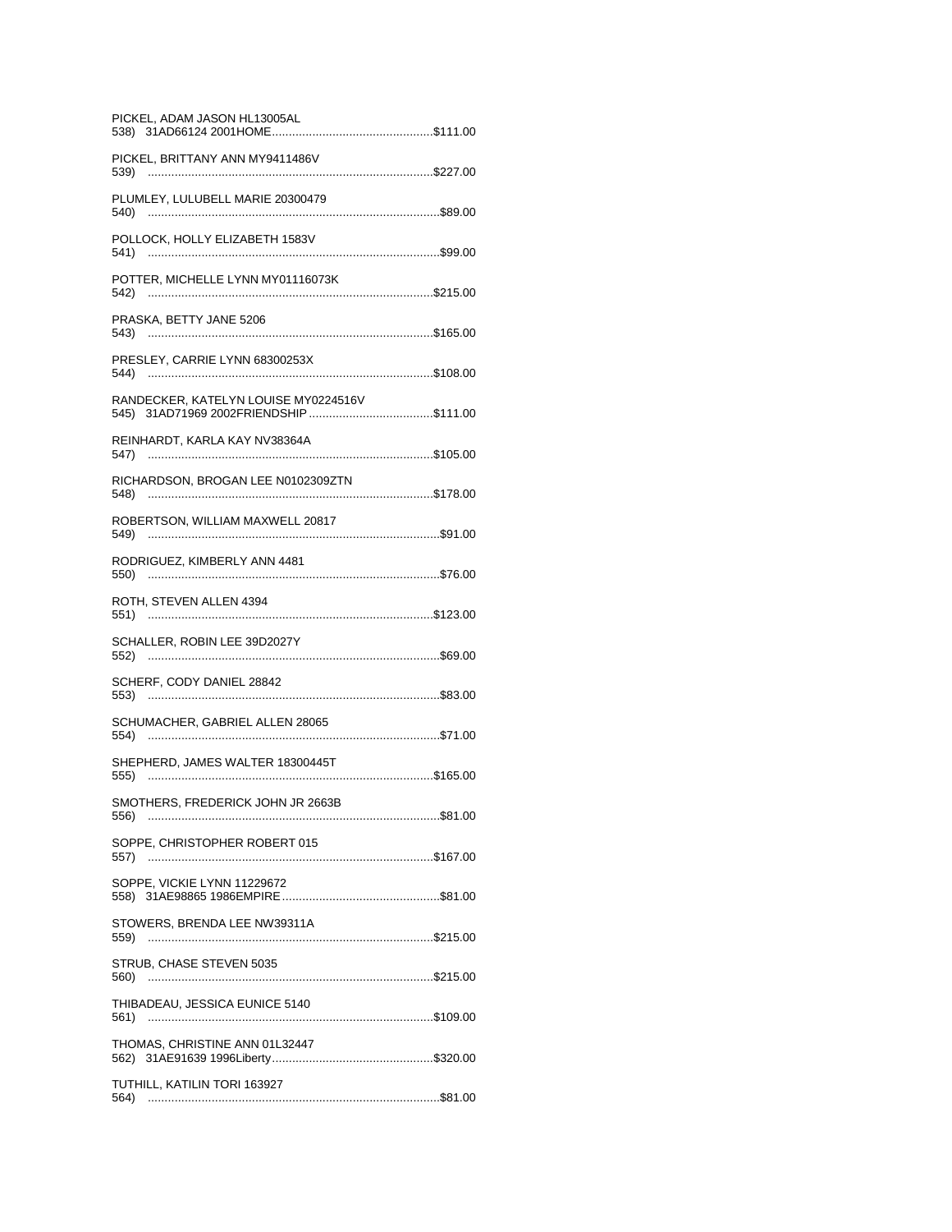| PICKEL, ADAM JASON HL13005AL              |
|-------------------------------------------|
| PICKEL, BRITTANY ANN MY9411486V<br>539)   |
| PLUMLEY, LULUBELL MARIE 20300479<br>540)  |
| POLLOCK, HOLLY ELIZABETH 1583V            |
| POTTER, MICHELLE LYNN MY01116073K         |
| PRASKA, BETTY JANE 5206                   |
| PRESLEY, CARRIE LYNN 68300253X<br>544)    |
| RANDECKER, KATELYN LOUISE MY0224516V      |
| REINHARDT, KARLA KAY NV38364A<br>547)     |
| RICHARDSON, BROGAN LEE N0102309ZTN        |
| ROBERTSON, WILLIAM MAXWELL 20817          |
| RODRIGUEZ, KIMBERLY ANN 4481              |
| ROTH, STEVEN ALLEN 4394<br>551)           |
| SCHALLER, ROBIN LEE 39D2027Y              |
| SCHERF, CODY DANIEL 28842                 |
| SCHUMACHER, GABRIEL ALLEN 28065           |
| SHEPHERD, JAMES WALTER 18300445T          |
| SMOTHERS, FREDERICK JOHN JR 2663B<br>556) |
| SOPPE, CHRISTOPHER ROBERT 015<br>557)     |
| SOPPE, VICKIE LYNN 11229672               |
| STOWERS, BRENDA LEE NW39311A<br>559)      |
| STRUB, CHASE STEVEN 5035                  |
| THIBADEAU, JESSICA EUNICE 5140<br>561)    |
| THOMAS, CHRISTINE ANN 01L32447            |
| TUTHILL, KATILIN TORI 163927              |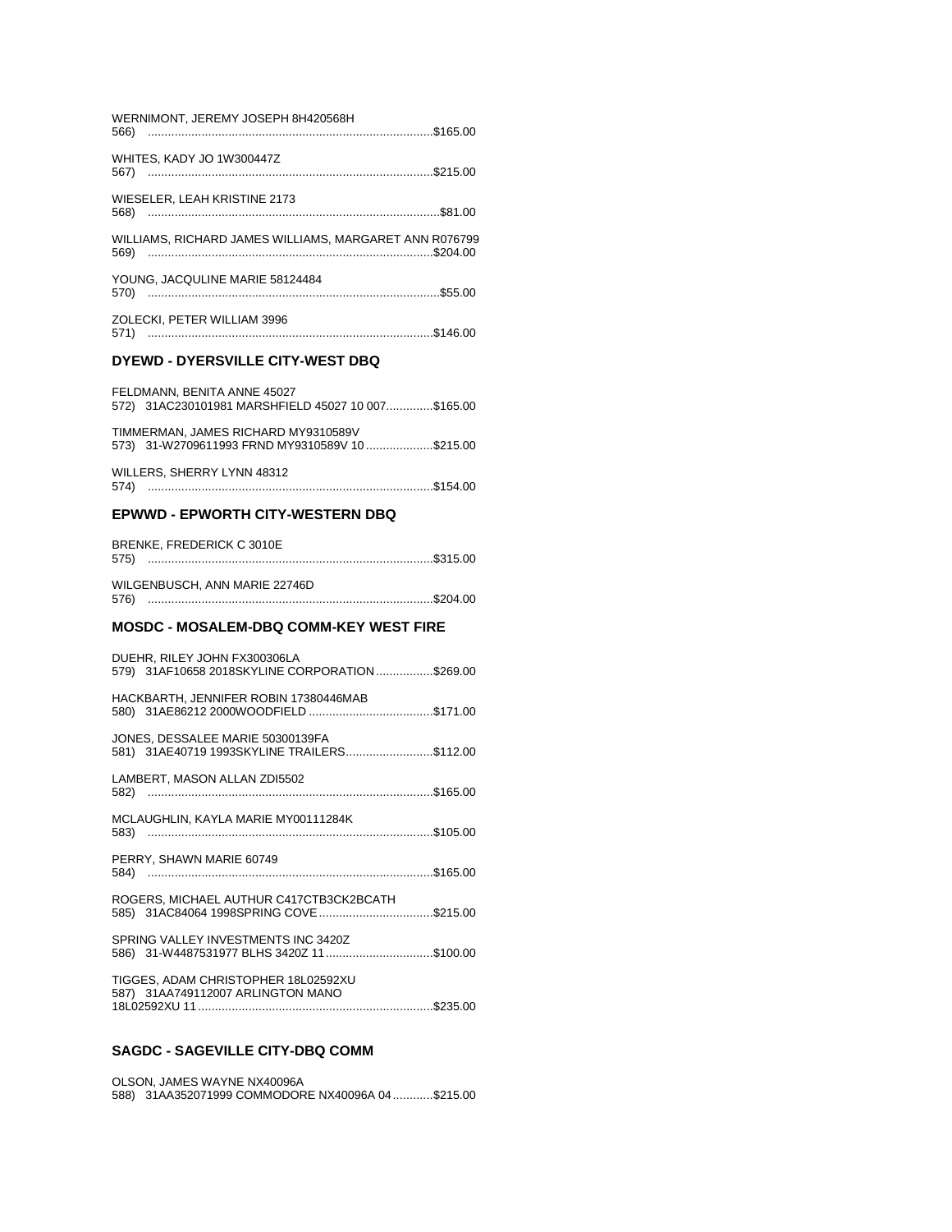| WERNIMONT, JEREMY JOSEPH 8H420568H                     |         |
|--------------------------------------------------------|---------|
| WHITES, KADY JO 1W300447Z<br>567)                      |         |
| WIESELER. LEAH KRISTINE 2173                           |         |
| WILLIAMS, RICHARD JAMES WILLIAMS, MARGARET ANN R076799 |         |
| YOUNG. JACQULINE MARIE 58124484                        | \$55.00 |
| ZOLECKI, PETER WILLIAM 3996<br>571)                    |         |

# **DYEWD - DYERSVILLE CITY-WEST DBQ**

| FELDMANN, BENITA ANNE 45027<br>572) 31AC230101981 MARSHFIELD 45027 10 007\$165.00     |  |
|---------------------------------------------------------------------------------------|--|
| TIMMERMAN, JAMES RICHARD MY9310589V<br>573) 31-W2709611993 FRND MY9310589V 10\$215.00 |  |
| WILLERS, SHERRY LYNN 48312                                                            |  |

# **EPWWD - EPWORTH CITY-WESTERN DBQ**

| BRENKE, FREDERICK C 3010E     |  |
|-------------------------------|--|
| WILGENBUSCH, ANN MARIE 22746D |  |

# MOSDC - MOSALEM-DBQ COMM-KEY WEST FIRE

| DUEHR, RILEY JOHN FX300306LA<br>579) 31AF10658 2018SKYLINE CORPORATION\$269.00   |  |
|----------------------------------------------------------------------------------|--|
| HACKBARTH, JENNIFER ROBIN 17380446MAB                                            |  |
| JONES, DESSALEE MARIE 50300139FA<br>581) 31AE40719 1993SKYLINE TRAILERS\$112.00  |  |
| LAMBERT, MASON ALLAN ZDI5502                                                     |  |
| MCLAUGHLIN, KAYLA MARIE MY00111284K                                              |  |
| PERRY, SHAWN MARIE 60749                                                         |  |
| ROGERS, MICHAEL AUTHUR C417CTB3CK2BCATH                                          |  |
| SPRING VALLEY INVESTMENTS INC 3420Z<br>586) 31-W4487531977 BLHS 3420Z 11\$100.00 |  |
| TIGGES, ADAM CHRISTOPHER 18L02592XU<br>587) 31AA749112007 ARLINGTON MANO         |  |

## **SAGDC - SAGEVILLE CITY-DBQ COMM**

OLSON, JAMES WAYNE NX40096A<br>588) 31AA352071999 COMMODORE NX40096A 04 ............\$215.00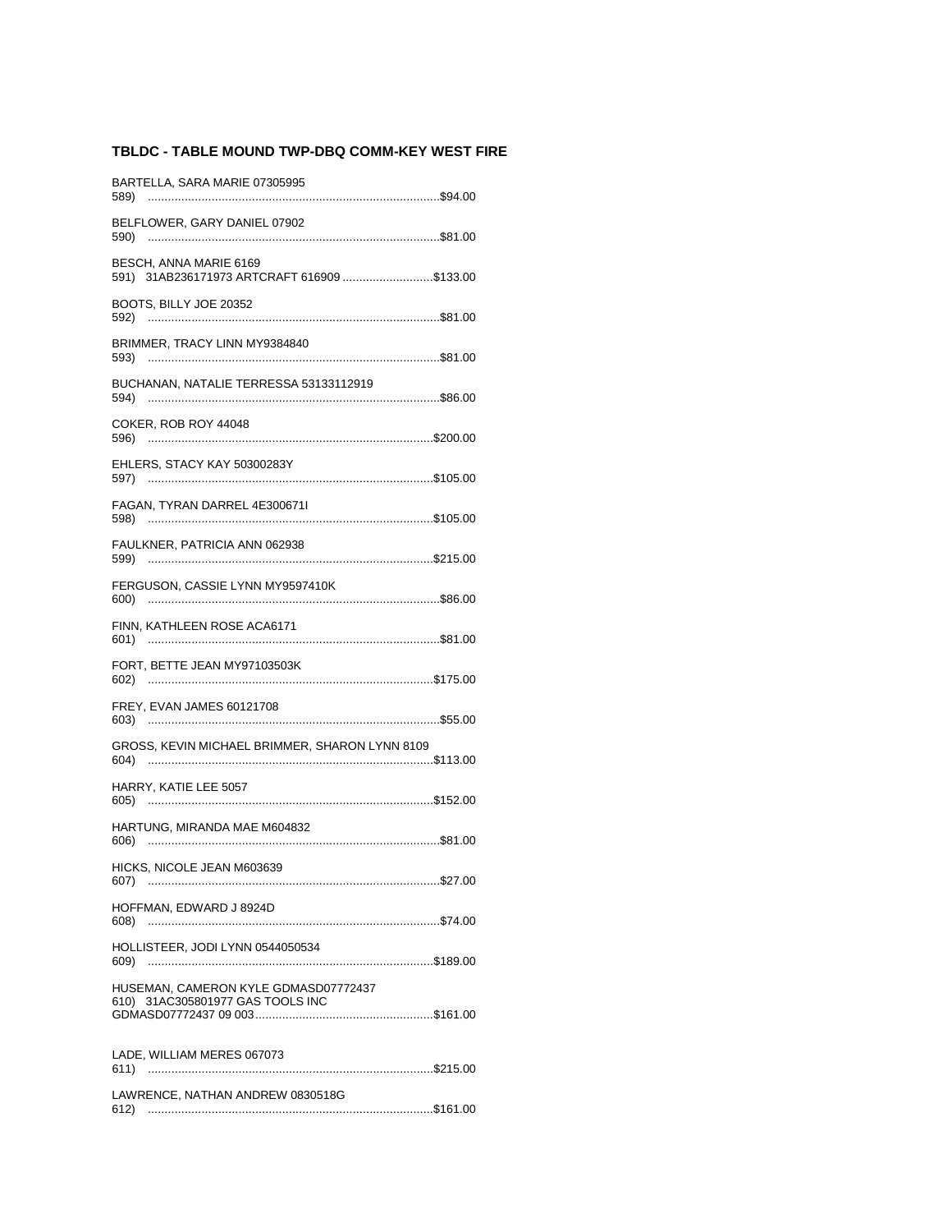# TBLDC - TABLE MOUND TWP-DBQ COMM-KEY WEST FIRE

| BARTELLA, SARA MARIE 07305995<br>589)                                    |  |
|--------------------------------------------------------------------------|--|
| BELFLOWER, GARY DANIEL 07902<br>590)                                     |  |
| BESCH, ANNA MARIE 6169<br>591) 31AB236171973 ARTCRAFT 616909 \$133.00    |  |
| BOOTS, BILLY JOE 20352                                                   |  |
| BRIMMER, TRACY LINN MY9384840                                            |  |
| BUCHANAN, NATALIE TERRESSA 53133112919<br>594)                           |  |
| COKER, ROB ROY 44048                                                     |  |
| EHLERS, STACY KAY 50300283Y                                              |  |
| FAGAN, TYRAN DARREL 4E300671I                                            |  |
| 598)<br>FAULKNER, PATRICIA ANN 062938                                    |  |
| FERGUSON, CASSIE LYNN MY9597410K                                         |  |
|                                                                          |  |
| FINN, KATHLEEN ROSE ACA6171                                              |  |
| FORT, BETTE JEAN MY97103503K                                             |  |
| FREY, EVAN JAMES 60121708                                                |  |
| GROSS, KEVIN MICHAEL BRIMMER, SHARON LYNN 8109<br>604)                   |  |
| HARRY, KATIE LEE 5057                                                    |  |
| HARTUNG, MIRANDA MAE M604832                                             |  |
| HICKS, NICOLE JEAN M603639<br>607)                                       |  |
| HOFFMAN, EDWARD J 8924D                                                  |  |
| HOLLISTEER, JODI LYNN 0544050534                                         |  |
| HUSEMAN, CAMERON KYLE GDMASD07772437<br>610) 31AC305801977 GAS TOOLS INC |  |
| LADE, WILLIAM MERES 067073                                               |  |
| 611)<br>LAWRENCE, NATHAN ANDREW 0830518G                                 |  |
|                                                                          |  |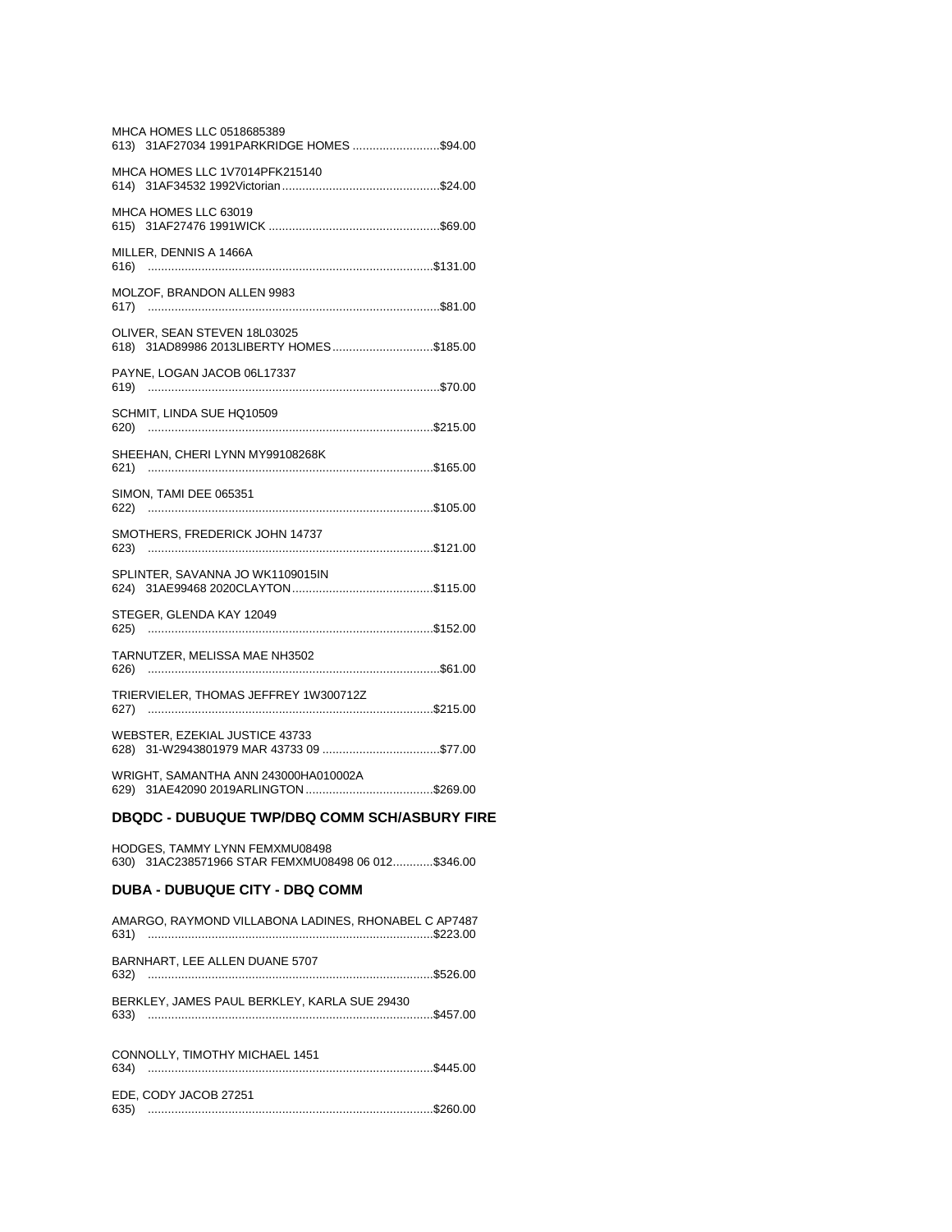| MHCA HOMES LLC 0518685389<br>613) 31AF27034 1991PARKRIDGE HOMES \$94.00  |
|--------------------------------------------------------------------------|
| MHCA HOMES LLC 1V7014PFK215140                                           |
| MHCA HOMES LLC 63019                                                     |
| MILLER, DENNIS A 1466A                                                   |
| MOLZOF, BRANDON ALLEN 9983                                               |
| OLIVER, SEAN STEVEN 18L03025<br>618) 31AD89986 2013LIBERTY HOMES\$185.00 |
| PAYNE, LOGAN JACOB 06L17337                                              |
| SCHMIT, LINDA SUE HQ10509                                                |
| SHEEHAN, CHERI LYNN MY99108268K                                          |
| SIMON, TAMI DEE 065351                                                   |
| SMOTHERS, FREDERICK JOHN 14737                                           |
| SPLINTER, SAVANNA JO WK1109015IN                                         |
| STEGER, GLENDA KAY 12049                                                 |
| TARNUTZER, MELISSA MAE NH3502                                            |
| TRIERVIELER, THOMAS JEFFREY 1W300712Z                                    |
| WEBSTER, EZEKIAL JUSTICE 43733                                           |
| WRIGHT, SAMANTHA ANN 243000HA010002A                                     |

## **DBQDC - DUBUQUE TWP/DBQ COMM SCH/ASBURY FIRE**

| HODGES, TAMMY LYNN FEMXMU08498<br>630) 31AC238571966 STAR FEMXMU08498 06 012\$346.00 |
|--------------------------------------------------------------------------------------|
| <b>DUBA - DUBUQUE CITY - DBQ COMM</b>                                                |
| AMARGO, RAYMOND VILLABONA LADINES, RHONABEL C AP7487                                 |
| BARNHART. LEE ALLEN DUANE 5707<br>632)                                               |
| BERKLEY, JAMES PAUL BERKLEY, KARLA SUE 29430<br>.\$457.00                            |
| CONNOLLY, TIMOTHY MICHAEL 1451<br>634)                                               |
| EDE, CODY JACOB 27251                                                                |

|      | $= 5.4$ |  |
|------|---------|--|
| 635) |         |  |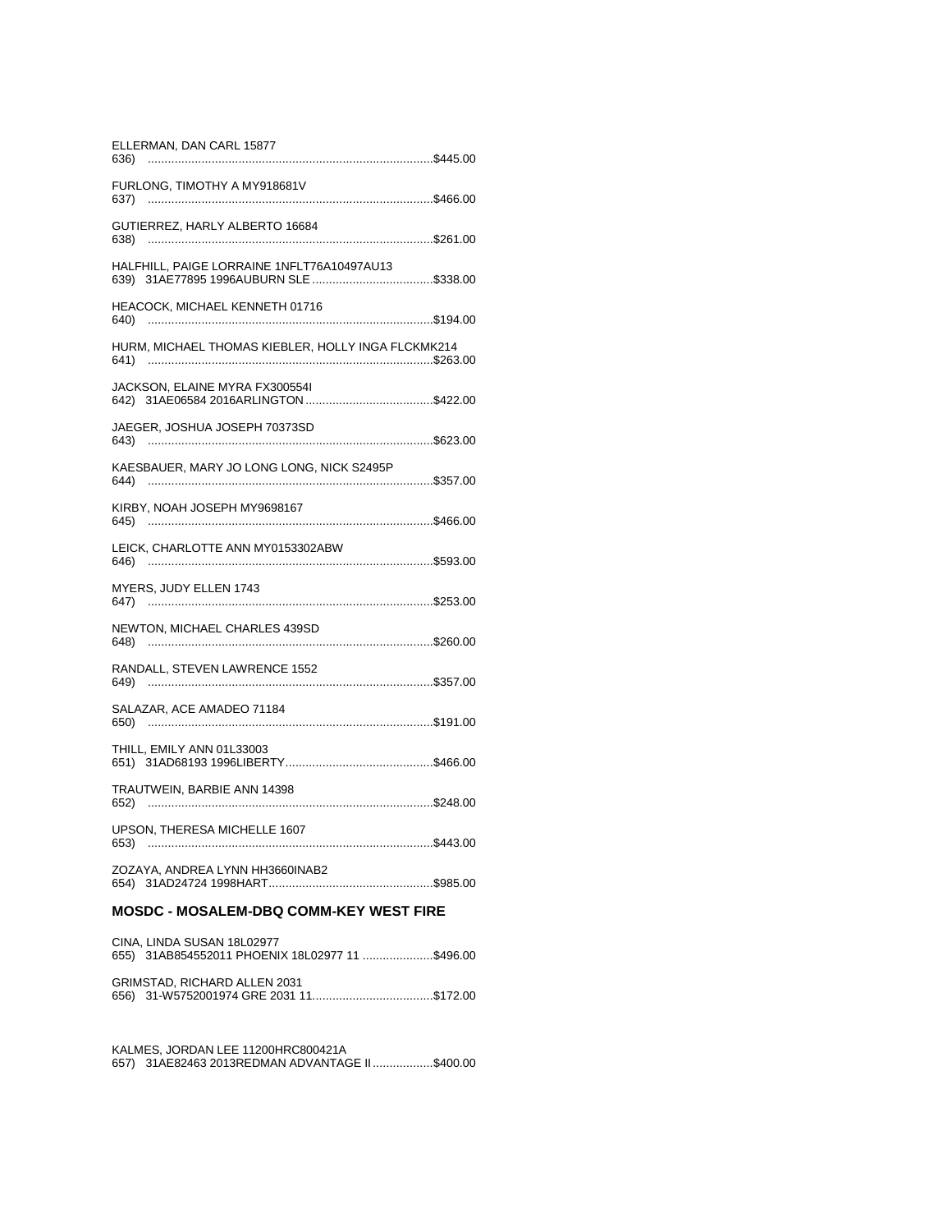| ELLERMAN, DAN CARL 15877<br>636)                                           |
|----------------------------------------------------------------------------|
| FURLONG, TIMOTHY A MY918681V<br>637)                                       |
| GUTIERREZ, HARLY ALBERTO 16684<br>638)                                     |
| HALFHILL, PAIGE LORRAINE 1NFLT76A10497AU13                                 |
| HEACOCK, MICHAEL KENNETH 01716<br>640)                                     |
| HURM, MICHAEL THOMAS KIEBLER, HOLLY INGA FLCKMK214<br>641)                 |
| JACKSON, ELAINE MYRA FX300554I                                             |
| JAEGER, JOSHUA JOSEPH 70373SD<br>643)                                      |
| KAESBAUER, MARY JO LONG LONG, NICK S2495P<br>644)                          |
| KIRBY, NOAH JOSEPH MY9698167<br>645)                                       |
| LEICK, CHARLOTTE ANN MY0153302ABW                                          |
| MYERS, JUDY ELLEN 1743<br>647)                                             |
| NEWTON, MICHAEL CHARLES 439SD<br>648)                                      |
| RANDALL, STEVEN LAWRENCE 1552<br>649)                                      |
| SALAZAR, ACE AMADEO 71184<br>650)                                          |
| THILL. EMILY ANN 01L33003                                                  |
| TRAUTWEIN, BARBIE ANN 14398<br>652)                                        |
| UPSON. THERESA MICHELLE 1607<br>653)                                       |
| ZOZAYA, ANDREA LYNN HH3660INAB2<br>\$985.00<br>654) 31AD24724 1998HART………… |

## MOSDC - MOSALEM-DBQ COMM-KEY WEST FIRE

| CINA, LINDA SUSAN 18L02977<br>655) 31AB854552011 PHOENIX 18L02977 11 \$496.00 |  |
|-------------------------------------------------------------------------------|--|
| <b>GRIMSTAD, RICHARD ALLEN 2031</b>                                           |  |

KALMES, JORDAN LEE 11200HRC800421A 657) 31AE82463 2013REDMAN ADVANTAGE II..................\$400.00